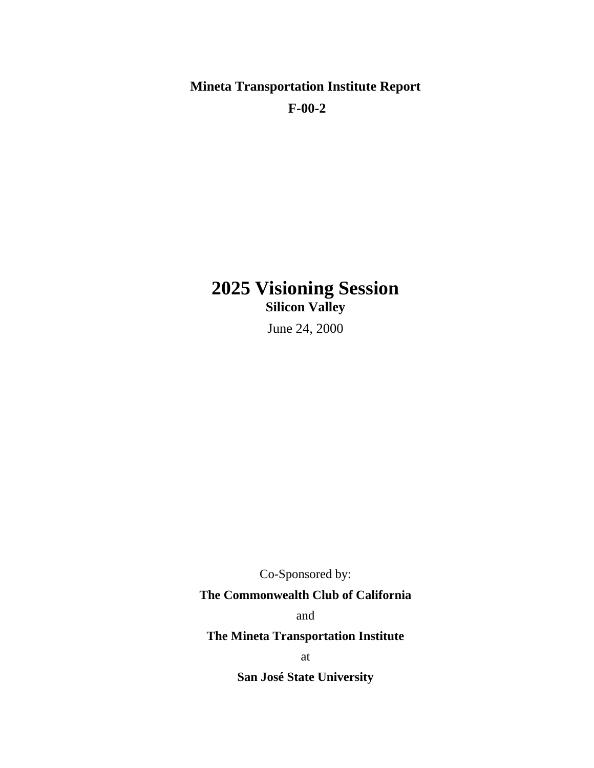**Mineta Transportation Institute Report F-00-2** 

# **2025 Visioning Session Silicon Valley**

June 24, 2000

Co-Sponsored by:

# **The Commonwealth Club of California**

and

**The Mineta Transportation Institute** 

at

**San José State University**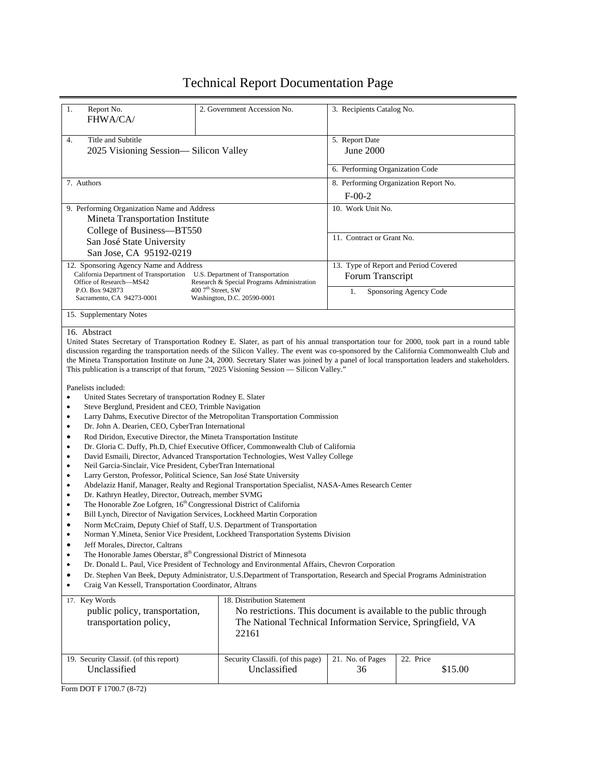# Technical Report Documentation Page

| 1.<br>Report No.<br>FHWA/CA/                                                                                                                                                                                                                                                                                                                                                                                                                                                                                                                                                                                                                                                                                                                                                                                                                                                                                                                                                                                                                                                                                                                                                                                                                                                                                                                                                                                                                                                                                                                                                                                                                                                                                                                                                                                                                                                                                                                                                                                                                                                                                                                                                                                                                                                                           | 2. Government Accession No.                                       | 3. Recipients Catalog No.                                                                                                        |                        |  |
|--------------------------------------------------------------------------------------------------------------------------------------------------------------------------------------------------------------------------------------------------------------------------------------------------------------------------------------------------------------------------------------------------------------------------------------------------------------------------------------------------------------------------------------------------------------------------------------------------------------------------------------------------------------------------------------------------------------------------------------------------------------------------------------------------------------------------------------------------------------------------------------------------------------------------------------------------------------------------------------------------------------------------------------------------------------------------------------------------------------------------------------------------------------------------------------------------------------------------------------------------------------------------------------------------------------------------------------------------------------------------------------------------------------------------------------------------------------------------------------------------------------------------------------------------------------------------------------------------------------------------------------------------------------------------------------------------------------------------------------------------------------------------------------------------------------------------------------------------------------------------------------------------------------------------------------------------------------------------------------------------------------------------------------------------------------------------------------------------------------------------------------------------------------------------------------------------------------------------------------------------------------------------------------------------------|-------------------------------------------------------------------|----------------------------------------------------------------------------------------------------------------------------------|------------------------|--|
| Title and Subtitle<br>4.<br>2025 Visioning Session-Silicon Valley                                                                                                                                                                                                                                                                                                                                                                                                                                                                                                                                                                                                                                                                                                                                                                                                                                                                                                                                                                                                                                                                                                                                                                                                                                                                                                                                                                                                                                                                                                                                                                                                                                                                                                                                                                                                                                                                                                                                                                                                                                                                                                                                                                                                                                      |                                                                   | 5. Report Date<br>June 2000                                                                                                      |                        |  |
|                                                                                                                                                                                                                                                                                                                                                                                                                                                                                                                                                                                                                                                                                                                                                                                                                                                                                                                                                                                                                                                                                                                                                                                                                                                                                                                                                                                                                                                                                                                                                                                                                                                                                                                                                                                                                                                                                                                                                                                                                                                                                                                                                                                                                                                                                                        |                                                                   | 6. Performing Organization Code                                                                                                  |                        |  |
| 7. Authors<br>9. Performing Organization Name and Address<br>Mineta Transportation Institute<br>College of Business-BT550<br>San José State University                                                                                                                                                                                                                                                                                                                                                                                                                                                                                                                                                                                                                                                                                                                                                                                                                                                                                                                                                                                                                                                                                                                                                                                                                                                                                                                                                                                                                                                                                                                                                                                                                                                                                                                                                                                                                                                                                                                                                                                                                                                                                                                                                 |                                                                   | 8. Performing Organization Report No.                                                                                            |                        |  |
|                                                                                                                                                                                                                                                                                                                                                                                                                                                                                                                                                                                                                                                                                                                                                                                                                                                                                                                                                                                                                                                                                                                                                                                                                                                                                                                                                                                                                                                                                                                                                                                                                                                                                                                                                                                                                                                                                                                                                                                                                                                                                                                                                                                                                                                                                                        |                                                                   | $F-00-2$                                                                                                                         |                        |  |
|                                                                                                                                                                                                                                                                                                                                                                                                                                                                                                                                                                                                                                                                                                                                                                                                                                                                                                                                                                                                                                                                                                                                                                                                                                                                                                                                                                                                                                                                                                                                                                                                                                                                                                                                                                                                                                                                                                                                                                                                                                                                                                                                                                                                                                                                                                        |                                                                   | 10. Work Unit No.<br>11. Contract or Grant No.                                                                                   |                        |  |
| San Jose, CA 95192-0219                                                                                                                                                                                                                                                                                                                                                                                                                                                                                                                                                                                                                                                                                                                                                                                                                                                                                                                                                                                                                                                                                                                                                                                                                                                                                                                                                                                                                                                                                                                                                                                                                                                                                                                                                                                                                                                                                                                                                                                                                                                                                                                                                                                                                                                                                |                                                                   |                                                                                                                                  |                        |  |
| 12. Sponsoring Agency Name and Address<br>California Department of Transportation<br>U.S. Department of Transportation                                                                                                                                                                                                                                                                                                                                                                                                                                                                                                                                                                                                                                                                                                                                                                                                                                                                                                                                                                                                                                                                                                                                                                                                                                                                                                                                                                                                                                                                                                                                                                                                                                                                                                                                                                                                                                                                                                                                                                                                                                                                                                                                                                                 |                                                                   | 13. Type of Report and Period Covered<br>Forum Transcript                                                                        |                        |  |
| Office of Research-MS42<br>P.O. Box 942873                                                                                                                                                                                                                                                                                                                                                                                                                                                                                                                                                                                                                                                                                                                                                                                                                                                                                                                                                                                                                                                                                                                                                                                                                                                                                                                                                                                                                                                                                                                                                                                                                                                                                                                                                                                                                                                                                                                                                                                                                                                                                                                                                                                                                                                             | Research & Special Programs Administration<br>$4007th$ Street, SW | 1.                                                                                                                               | Sponsoring Agency Code |  |
| Sacramento, CA 94273-0001                                                                                                                                                                                                                                                                                                                                                                                                                                                                                                                                                                                                                                                                                                                                                                                                                                                                                                                                                                                                                                                                                                                                                                                                                                                                                                                                                                                                                                                                                                                                                                                                                                                                                                                                                                                                                                                                                                                                                                                                                                                                                                                                                                                                                                                                              | Washington, D.C. 20590-0001                                       |                                                                                                                                  |                        |  |
| 15. Supplementary Notes                                                                                                                                                                                                                                                                                                                                                                                                                                                                                                                                                                                                                                                                                                                                                                                                                                                                                                                                                                                                                                                                                                                                                                                                                                                                                                                                                                                                                                                                                                                                                                                                                                                                                                                                                                                                                                                                                                                                                                                                                                                                                                                                                                                                                                                                                |                                                                   |                                                                                                                                  |                        |  |
| 16. Abstract<br>United States Secretary of Transportation Rodney E. Slater, as part of his annual transportation tour for 2000, took part in a round table<br>discussion regarding the transportation needs of the Silicon Valley. The event was co-sponsored by the California Commonwealth Club and<br>the Mineta Transportation Institute on June 24, 2000. Secretary Slater was joined by a panel of local transportation leaders and stakeholders.<br>This publication is a transcript of that forum, "2025 Visioning Session — Silicon Valley."<br>Panelists included:<br>United States Secretary of transportation Rodney E. Slater<br>$\bullet$<br>Steve Berglund, President and CEO, Trimble Navigation<br>٠<br>Larry Dahms, Executive Director of the Metropolitan Transportation Commission<br>$\bullet$<br>Dr. John A. Dearien, CEO, CyberTran International<br>٠<br>Rod Diridon, Executive Director, the Mineta Transportation Institute<br>$\bullet$<br>Dr. Gloria C. Duffy, Ph.D, Chief Executive Officer, Commonwealth Club of California<br>٠<br>David Esmaili, Director, Advanced Transportation Technologies, West Valley College<br>٠<br>Neil Garcia-Sinclair, Vice President, CyberTran International<br>Larry Gerston, Professor, Political Science, San José State University<br>٠<br>Abdelaziz Hanif, Manager, Realty and Regional Transportation Specialist, NASA-Ames Research Center<br>$\bullet$<br>Dr. Kathryn Heatley, Director, Outreach, member SVMG<br>The Honorable Zoe Lofgren, 16 <sup>th</sup> Congressional District of California<br>٠<br>Bill Lynch, Director of Navigation Services, Lockheed Martin Corporation<br>$\bullet$<br>Norm McCraim, Deputy Chief of Staff, U.S. Department of Transportation<br>٠<br>Norman Y.Mineta, Senior Vice President, Lockheed Transportation Systems Division<br>٠<br>Jeff Morales, Director, Caltrans<br>٠<br>The Honorable James Oberstar, 8 <sup>th</sup> Congressional District of Minnesota<br>٠<br>Dr. Donald L. Paul, Vice President of Technology and Environmental Affairs, Chevron Corporation<br>Dr. Stephen Van Beek, Deputy Administrator, U.S.Department of Transportation, Research and Special Programs Administration<br>$\bullet$<br>Craig Van Kessell, Transportation Coordinator, Altrans<br>$\bullet$ |                                                                   |                                                                                                                                  |                        |  |
| 17. Key Words<br>public policy, transportation,<br>transportation policy,                                                                                                                                                                                                                                                                                                                                                                                                                                                                                                                                                                                                                                                                                                                                                                                                                                                                                                                                                                                                                                                                                                                                                                                                                                                                                                                                                                                                                                                                                                                                                                                                                                                                                                                                                                                                                                                                                                                                                                                                                                                                                                                                                                                                                              | 18. Distribution Statement<br>22161                               | No restrictions. This document is available to the public through<br>The National Technical Information Service, Springfield, VA |                        |  |
| 19. Security Classif. (of this report)<br>Unclassified                                                                                                                                                                                                                                                                                                                                                                                                                                                                                                                                                                                                                                                                                                                                                                                                                                                                                                                                                                                                                                                                                                                                                                                                                                                                                                                                                                                                                                                                                                                                                                                                                                                                                                                                                                                                                                                                                                                                                                                                                                                                                                                                                                                                                                                 | Security Classifi. (of this page)<br>Unclassified                 | 21. No. of Pages<br>36                                                                                                           | 22. Price<br>\$15.00   |  |

Form DOT F 1700.7 (8-72)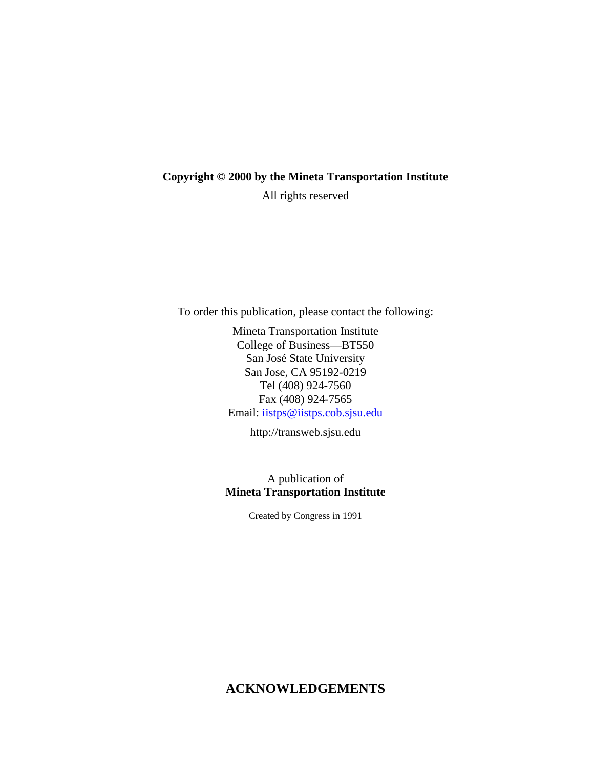#### **Copyright © 2000 by the Mineta Transportation Institute**

All rights reserved

To order this publication, please contact the following:

Mineta Transportation Institute College of Business—BT550 San José State University San Jose, CA 95192-0219 Tel (408) 924-7560 Fax (408) 924-7565 Email: iistps@iistps.cob.sjsu.edu

http://transweb.sjsu.edu

## A publication of **Mineta Transportation Institute**

Created by Congress in 1991

# **ACKNOWLEDGEMENTS**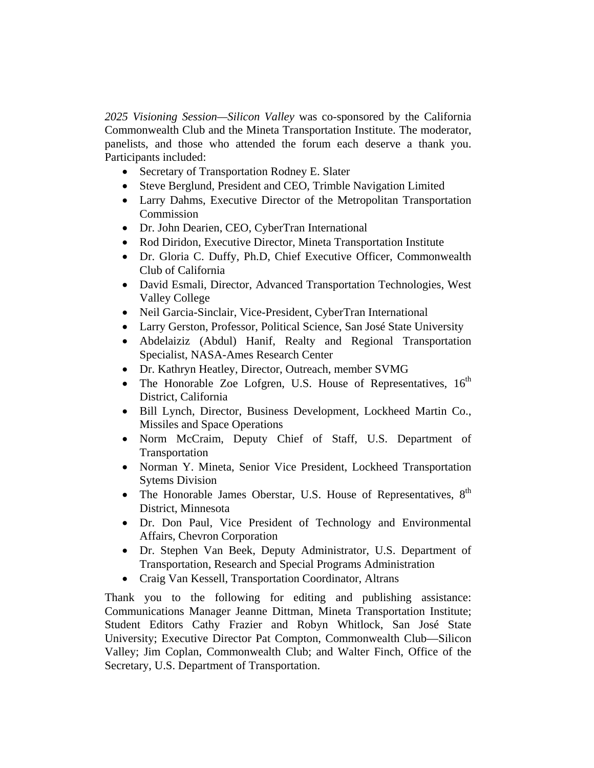*2025 Visioning Session—Silicon Valley* was co-sponsored by the California Commonwealth Club and the Mineta Transportation Institute. The moderator, panelists, and those who attended the forum each deserve a thank you. Participants included:

- Secretary of Transportation Rodney E. Slater
- Steve Berglund, President and CEO, Trimble Navigation Limited
- Larry Dahms, Executive Director of the Metropolitan Transportation Commission
- Dr. John Dearien, CEO, CyberTran International
- Rod Diridon, Executive Director, Mineta Transportation Institute
- Dr. Gloria C. Duffy, Ph.D, Chief Executive Officer, Commonwealth Club of California
- David Esmali, Director, Advanced Transportation Technologies, West Valley College
- Neil Garcia-Sinclair, Vice-President, CyberTran International
- Larry Gerston, Professor, Political Science, San José State University
- Abdelaiziz (Abdul) Hanif, Realty and Regional Transportation Specialist, NASA-Ames Research Center
- Dr. Kathryn Heatley, Director, Outreach, member SVMG
- The Honorable Zoe Lofgren, U.S. House of Representatives,  $16<sup>th</sup>$ District, California
- Bill Lynch, Director, Business Development, Lockheed Martin Co., Missiles and Space Operations
- Norm McCraim, Deputy Chief of Staff, U.S. Department of Transportation
- Norman Y. Mineta, Senior Vice President, Lockheed Transportation Sytems Division
- The Honorable James Oberstar, U.S. House of Representatives,  $8<sup>th</sup>$ District, Minnesota
- Dr. Don Paul, Vice President of Technology and Environmental Affairs, Chevron Corporation
- Dr. Stephen Van Beek, Deputy Administrator, U.S. Department of Transportation, Research and Special Programs Administration
- Craig Van Kessell, Transportation Coordinator, Altrans

Thank you to the following for editing and publishing assistance: Communications Manager Jeanne Dittman, Mineta Transportation Institute; Student Editors Cathy Frazier and Robyn Whitlock, San José State University; Executive Director Pat Compton, Commonwealth Club—Silicon Valley; Jim Coplan, Commonwealth Club; and Walter Finch, Office of the Secretary, U.S. Department of Transportation.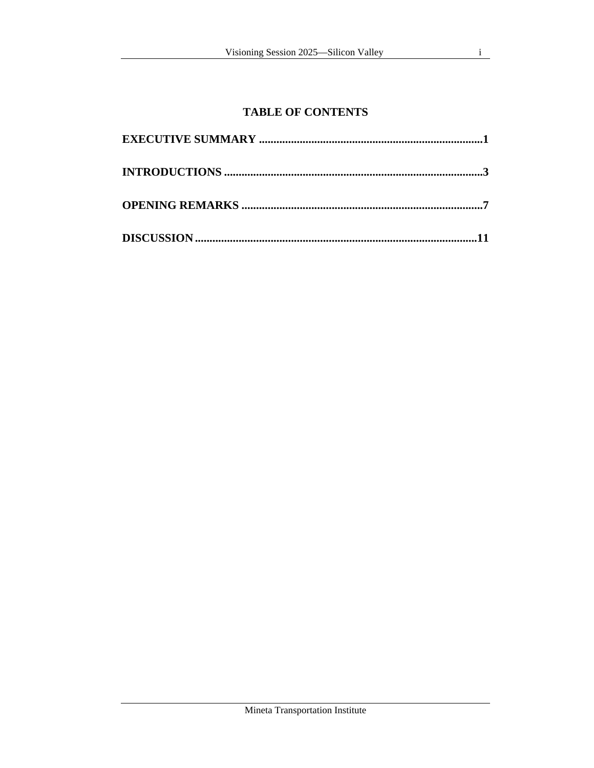# **TABLE OF CONTENTS**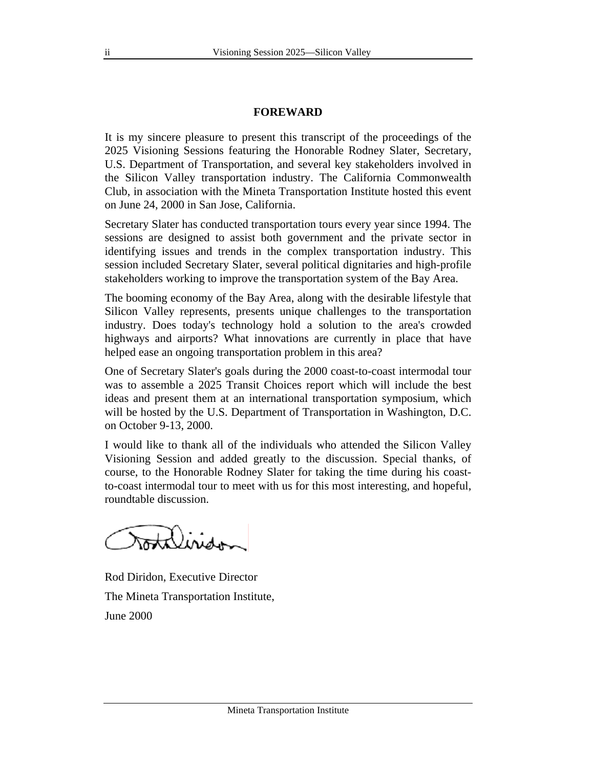#### **FOREWARD**

It is my sincere pleasure to present this transcript of the proceedings of the 2025 Visioning Sessions featuring the Honorable Rodney Slater, Secretary, U.S. Department of Transportation, and several key stakeholders involved in the Silicon Valley transportation industry. The California Commonwealth Club, in association with the Mineta Transportation Institute hosted this event on June 24, 2000 in San Jose, California.

Secretary Slater has conducted transportation tours every year since 1994. The sessions are designed to assist both government and the private sector in identifying issues and trends in the complex transportation industry. This session included Secretary Slater, several political dignitaries and high-profile stakeholders working to improve the transportation system of the Bay Area.

The booming economy of the Bay Area, along with the desirable lifestyle that Silicon Valley represents, presents unique challenges to the transportation industry. Does today's technology hold a solution to the area's crowded highways and airports? What innovations are currently in place that have helped ease an ongoing transportation problem in this area?

One of Secretary Slater's goals during the 2000 coast-to-coast intermodal tour was to assemble a 2025 Transit Choices report which will include the best ideas and present them at an international transportation symposium, which will be hosted by the U.S. Department of Transportation in Washington, D.C. on October 9-13, 2000.

I would like to thank all of the individuals who attended the Silicon Valley Visioning Session and added greatly to the discussion. Special thanks, of course, to the Honorable Rodney Slater for taking the time during his coastto-coast intermodal tour to meet with us for this most interesting, and hopeful, roundtable discussion.

mtiliside

Rod Diridon, Executive Director The Mineta Transportation Institute, June 2000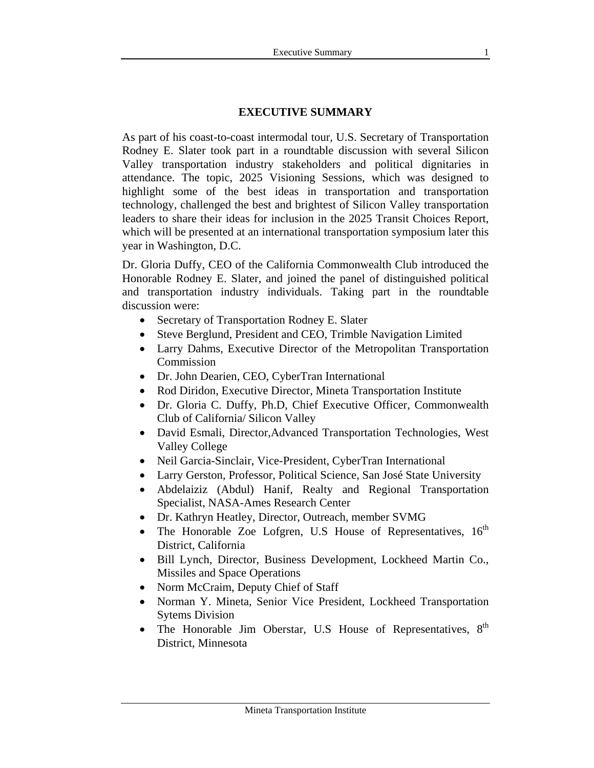#### **EXECUTIVE SUMMARY**

As part of his coast-to-coast intermodal tour, U.S. Secretary of Transportation Rodney E. Slater took part in a roundtable discussion with several Silicon Valley transportation industry stakeholders and political dignitaries in attendance. The topic, 2025 Visioning Sessions, which was designed to highlight some of the best ideas in transportation and transportation technology, challenged the best and brightest of Silicon Valley transportation leaders to share their ideas for inclusion in the 2025 Transit Choices Report, which will be presented at an international transportation symposium later this year in Washington, D.C.

Dr. Gloria Duffy, CEO of the California Commonwealth Club introduced the Honorable Rodney E. Slater, and joined the panel of distinguished political and transportation industry individuals. Taking part in the roundtable discussion were:

- Secretary of Transportation Rodney E. Slater
- Steve Berglund, President and CEO, Trimble Navigation Limited
- Larry Dahms, Executive Director of the Metropolitan Transportation Commission
- Dr. John Dearien, CEO, CyberTran International
- Rod Diridon, Executive Director, Mineta Transportation Institute
- Dr. Gloria C. Duffy, Ph.D, Chief Executive Officer, Commonwealth Club of California/ Silicon Valley
- David Esmali, Director,Advanced Transportation Technologies, West Valley College
- Neil Garcia-Sinclair, Vice-President, CyberTran International
- Larry Gerston, Professor, Political Science, San José State University
- Abdelaiziz (Abdul) Hanif, Realty and Regional Transportation Specialist, NASA-Ames Research Center
- Dr. Kathryn Heatley, Director, Outreach, member SVMG
- The Honorable Zoe Lofgren, U.S House of Representatives,  $16<sup>th</sup>$ District, California
- Bill Lynch, Director, Business Development, Lockheed Martin Co., Missiles and Space Operations
- Norm McCraim, Deputy Chief of Staff
- Norman Y. Mineta, Senior Vice President, Lockheed Transportation Sytems Division
- The Honorable Jim Oberstar, U.S House of Representatives,  $8<sup>th</sup>$ District, Minnesota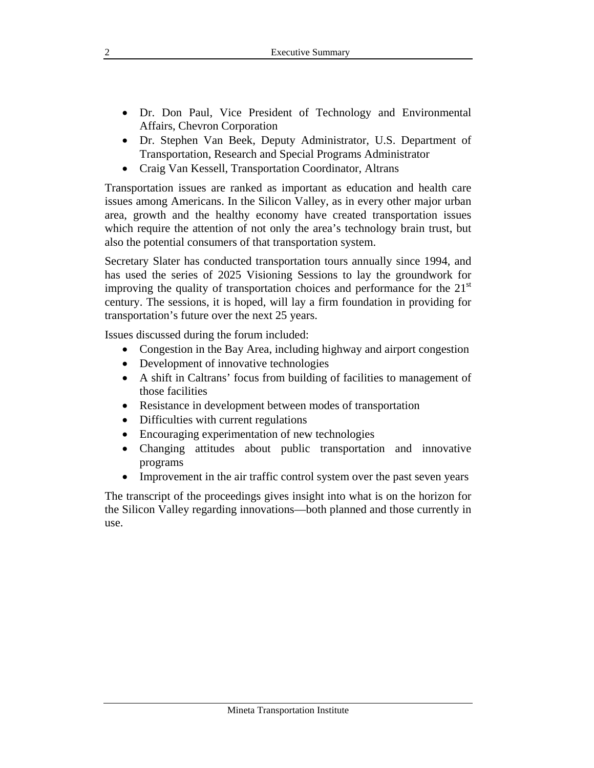- Dr. Don Paul, Vice President of Technology and Environmental Affairs, Chevron Corporation
- Dr. Stephen Van Beek, Deputy Administrator, U.S. Department of Transportation, Research and Special Programs Administrator
- Craig Van Kessell, Transportation Coordinator, Altrans

Transportation issues are ranked as important as education and health care issues among Americans. In the Silicon Valley, as in every other major urban area, growth and the healthy economy have created transportation issues which require the attention of not only the area's technology brain trust, but also the potential consumers of that transportation system.

Secretary Slater has conducted transportation tours annually since 1994, and has used the series of 2025 Visioning Sessions to lay the groundwork for improving the quality of transportation choices and performance for the  $21<sup>st</sup>$ century. The sessions, it is hoped, will lay a firm foundation in providing for transportation's future over the next 25 years.

Issues discussed during the forum included:

- Congestion in the Bay Area, including highway and airport congestion
- Development of innovative technologies
- A shift in Caltrans' focus from building of facilities to management of those facilities
- Resistance in development between modes of transportation
- Difficulties with current regulations
- Encouraging experimentation of new technologies
- Changing attitudes about public transportation and innovative programs
- Improvement in the air traffic control system over the past seven years

The transcript of the proceedings gives insight into what is on the horizon for the Silicon Valley regarding innovations—both planned and those currently in use.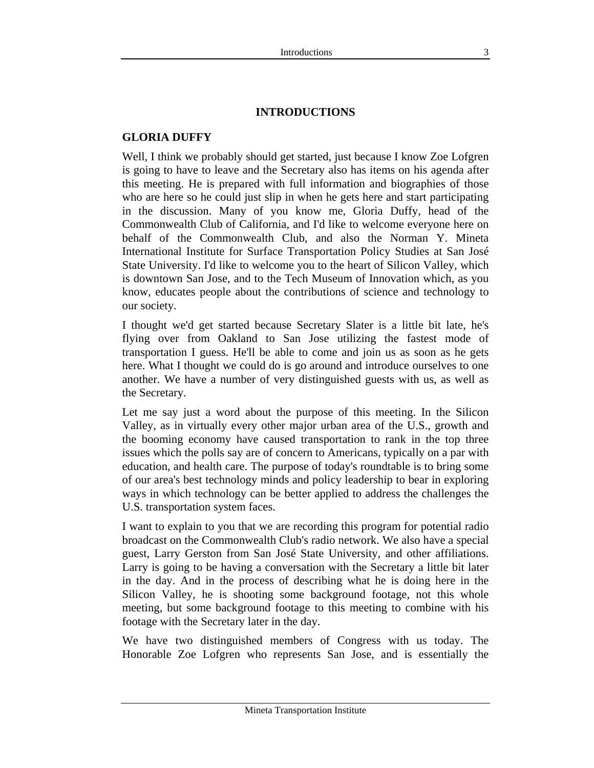## **GLORIA DUFFY**

Well, I think we probably should get started, just because I know Zoe Lofgren is going to have to leave and the Secretary also has items on his agenda after this meeting. He is prepared with full information and biographies of those who are here so he could just slip in when he gets here and start participating in the discussion. Many of you know me, Gloria Duffy, head of the Commonwealth Club of California, and I'd like to welcome everyone here on behalf of the Commonwealth Club, and also the Norman Y. Mineta International Institute for Surface Transportation Policy Studies at San José State University. I'd like to welcome you to the heart of Silicon Valley, which is downtown San Jose, and to the Tech Museum of Innovation which, as you know, educates people about the contributions of science and technology to our society.

I thought we'd get started because Secretary Slater is a little bit late, he's flying over from Oakland to San Jose utilizing the fastest mode of transportation I guess. He'll be able to come and join us as soon as he gets here. What I thought we could do is go around and introduce ourselves to one another. We have a number of very distinguished guests with us, as well as the Secretary.

Let me say just a word about the purpose of this meeting. In the Silicon Valley, as in virtually every other major urban area of the U.S., growth and the booming economy have caused transportation to rank in the top three issues which the polls say are of concern to Americans, typically on a par with education, and health care. The purpose of today's roundtable is to bring some of our area's best technology minds and policy leadership to bear in exploring ways in which technology can be better applied to address the challenges the U.S. transportation system faces.

I want to explain to you that we are recording this program for potential radio broadcast on the Commonwealth Club's radio network. We also have a special guest, Larry Gerston from San José State University, and other affiliations. Larry is going to be having a conversation with the Secretary a little bit later in the day. And in the process of describing what he is doing here in the Silicon Valley, he is shooting some background footage, not this whole meeting, but some background footage to this meeting to combine with his footage with the Secretary later in the day.

We have two distinguished members of Congress with us today. The Honorable Zoe Lofgren who represents San Jose, and is essentially the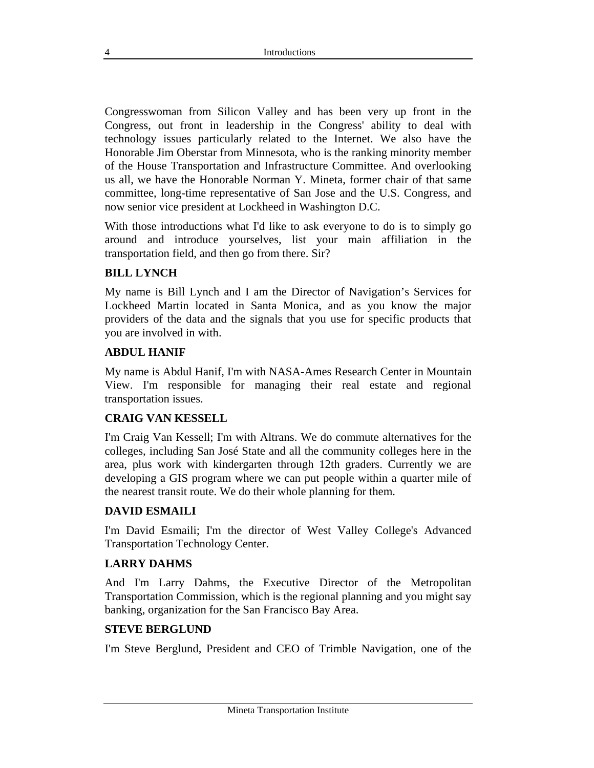Congresswoman from Silicon Valley and has been very up front in the Congress, out front in leadership in the Congress' ability to deal with technology issues particularly related to the Internet. We also have the Honorable Jim Oberstar from Minnesota, who is the ranking minority member of the House Transportation and Infrastructure Committee. And overlooking us all, we have the Honorable Norman Y. Mineta, former chair of that same committee, long-time representative of San Jose and the U.S. Congress, and now senior vice president at Lockheed in Washington D.C.

With those introductions what I'd like to ask everyone to do is to simply go around and introduce yourselves, list your main affiliation in the transportation field, and then go from there. Sir?

## **BILL LYNCH**

My name is Bill Lynch and I am the Director of Navigation's Services for Lockheed Martin located in Santa Monica, and as you know the major providers of the data and the signals that you use for specific products that you are involved in with.

#### **ABDUL HANIF**

My name is Abdul Hanif, I'm with NASA-Ames Research Center in Mountain View. I'm responsible for managing their real estate and regional transportation issues.

#### **CRAIG VAN KESSELL**

I'm Craig Van Kessell; I'm with Altrans. We do commute alternatives for the colleges, including San José State and all the community colleges here in the area, plus work with kindergarten through 12th graders. Currently we are developing a GIS program where we can put people within a quarter mile of the nearest transit route. We do their whole planning for them.

#### **DAVID ESMAILI**

I'm David Esmaili; I'm the director of West Valley College's Advanced Transportation Technology Center.

#### **LARRY DAHMS**

And I'm Larry Dahms, the Executive Director of the Metropolitan Transportation Commission, which is the regional planning and you might say banking, organization for the San Francisco Bay Area.

#### **STEVE BERGLUND**

I'm Steve Berglund, President and CEO of Trimble Navigation, one of the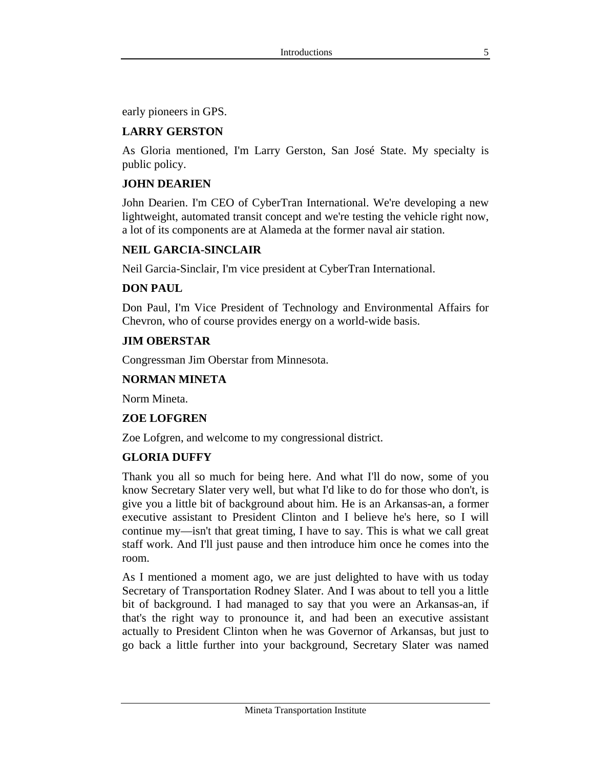early pioneers in GPS.

# **LARRY GERSTON**

As Gloria mentioned, I'm Larry Gerston, San José State. My specialty is public policy.

## **JOHN DEARIEN**

John Dearien. I'm CEO of CyberTran International. We're developing a new lightweight, automated transit concept and we're testing the vehicle right now, a lot of its components are at Alameda at the former naval air station.

#### **NEIL GARCIA-SINCLAIR**

Neil Garcia-Sinclair, I'm vice president at CyberTran International.

#### **DON PAUL**

Don Paul, I'm Vice President of Technology and Environmental Affairs for Chevron, who of course provides energy on a world-wide basis.

#### **JIM OBERSTAR**

Congressman Jim Oberstar from Minnesota.

## **NORMAN MINETA**

Norm Mineta.

#### **ZOE LOFGREN**

Zoe Lofgren, and welcome to my congressional district.

#### **GLORIA DUFFY**

Thank you all so much for being here. And what I'll do now, some of you know Secretary Slater very well, but what I'd like to do for those who don't, is give you a little bit of background about him. He is an Arkansas-an, a former executive assistant to President Clinton and I believe he's here, so I will continue my—isn't that great timing, I have to say. This is what we call great staff work. And I'll just pause and then introduce him once he comes into the room.

As I mentioned a moment ago, we are just delighted to have with us today Secretary of Transportation Rodney Slater. And I was about to tell you a little bit of background. I had managed to say that you were an Arkansas-an, if that's the right way to pronounce it, and had been an executive assistant actually to President Clinton when he was Governor of Arkansas, but just to go back a little further into your background, Secretary Slater was named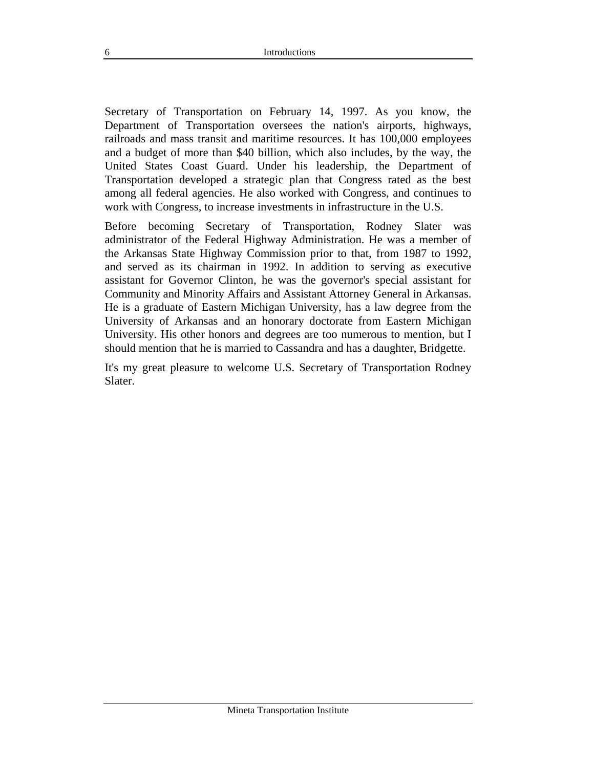Secretary of Transportation on February 14, 1997. As you know, the Department of Transportation oversees the nation's airports, highways, railroads and mass transit and maritime resources. It has 100,000 employees and a budget of more than \$40 billion, which also includes, by the way, the United States Coast Guard. Under his leadership, the Department of Transportation developed a strategic plan that Congress rated as the best among all federal agencies. He also worked with Congress, and continues to work with Congress, to increase investments in infrastructure in the U.S.

Before becoming Secretary of Transportation, Rodney Slater was administrator of the Federal Highway Administration. He was a member of the Arkansas State Highway Commission prior to that, from 1987 to 1992, and served as its chairman in 1992. In addition to serving as executive assistant for Governor Clinton, he was the governor's special assistant for Community and Minority Affairs and Assistant Attorney General in Arkansas. He is a graduate of Eastern Michigan University, has a law degree from the University of Arkansas and an honorary doctorate from Eastern Michigan University. His other honors and degrees are too numerous to mention, but I should mention that he is married to Cassandra and has a daughter, Bridgette.

It's my great pleasure to welcome U.S. Secretary of Transportation Rodney Slater.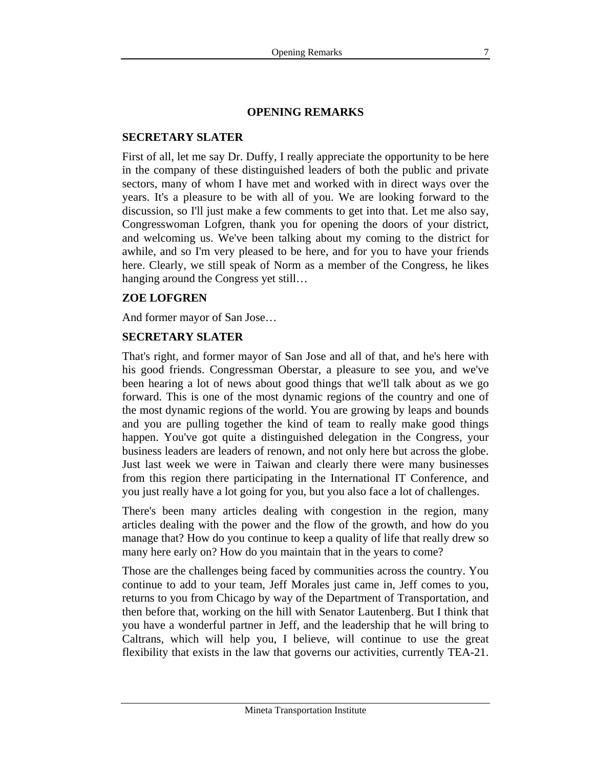## **OPENING REMARKS**

#### **SECRETARY SLATER**

First of all, let me say Dr. Duffy, I really appreciate the opportunity to be here in the company of these distinguished leaders of both the public and private sectors, many of whom I have met and worked with in direct ways over the years. It's a pleasure to be with all of you. We are looking forward to the discussion, so I'll just make a few comments to get into that. Let me also say, Congresswoman Lofgren, thank you for opening the doors of your district, and welcoming us. We've been talking about my coming to the district for awhile, and so I'm very pleased to be here, and for you to have your friends here. Clearly, we still speak of Norm as a member of the Congress, he likes hanging around the Congress yet still…

## **ZOE LOFGREN**

And former mayor of San Jose…

# **SECRETARY SLATER**

That's right, and former mayor of San Jose and all of that, and he's here with his good friends. Congressman Oberstar, a pleasure to see you, and we've been hearing a lot of news about good things that we'll talk about as we go forward. This is one of the most dynamic regions of the country and one of the most dynamic regions of the world. You are growing by leaps and bounds and you are pulling together the kind of team to really make good things happen. You've got quite a distinguished delegation in the Congress, your business leaders are leaders of renown, and not only here but across the globe. Just last week we were in Taiwan and clearly there were many businesses from this region there participating in the International IT Conference, and you just really have a lot going for you, but you also face a lot of challenges.

There's been many articles dealing with congestion in the region, many articles dealing with the power and the flow of the growth, and how do you manage that? How do you continue to keep a quality of life that really drew so many here early on? How do you maintain that in the years to come?

Those are the challenges being faced by communities across the country. You continue to add to your team, Jeff Morales just came in, Jeff comes to you, returns to you from Chicago by way of the Department of Transportation, and then before that, working on the hill with Senator Lautenberg. But I think that you have a wonderful partner in Jeff, and the leadership that he will bring to Caltrans, which will help you, I believe, will continue to use the great flexibility that exists in the law that governs our activities, currently TEA-21.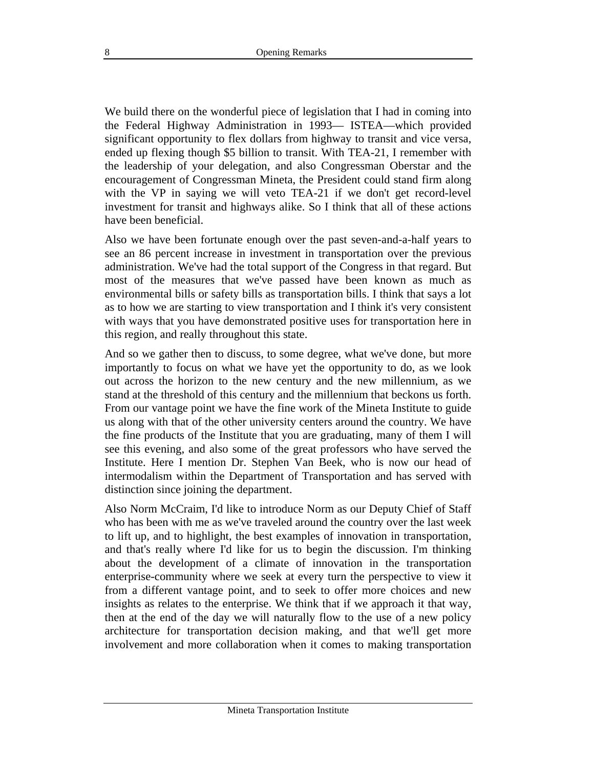We build there on the wonderful piece of legislation that I had in coming into the Federal Highway Administration in 1993— ISTEA—which provided significant opportunity to flex dollars from highway to transit and vice versa, ended up flexing though \$5 billion to transit. With TEA-21, I remember with the leadership of your delegation, and also Congressman Oberstar and the encouragement of Congressman Mineta, the President could stand firm along with the VP in saying we will veto TEA-21 if we don't get record-level investment for transit and highways alike. So I think that all of these actions have been beneficial.

Also we have been fortunate enough over the past seven-and-a-half years to see an 86 percent increase in investment in transportation over the previous administration. We've had the total support of the Congress in that regard. But most of the measures that we've passed have been known as much as environmental bills or safety bills as transportation bills. I think that says a lot as to how we are starting to view transportation and I think it's very consistent with ways that you have demonstrated positive uses for transportation here in this region, and really throughout this state.

And so we gather then to discuss, to some degree, what we've done, but more importantly to focus on what we have yet the opportunity to do, as we look out across the horizon to the new century and the new millennium, as we stand at the threshold of this century and the millennium that beckons us forth. From our vantage point we have the fine work of the Mineta Institute to guide us along with that of the other university centers around the country. We have the fine products of the Institute that you are graduating, many of them I will see this evening, and also some of the great professors who have served the Institute. Here I mention Dr. Stephen Van Beek, who is now our head of intermodalism within the Department of Transportation and has served with distinction since joining the department.

Also Norm McCraim, I'd like to introduce Norm as our Deputy Chief of Staff who has been with me as we've traveled around the country over the last week to lift up, and to highlight, the best examples of innovation in transportation, and that's really where I'd like for us to begin the discussion. I'm thinking about the development of a climate of innovation in the transportation enterprise-community where we seek at every turn the perspective to view it from a different vantage point, and to seek to offer more choices and new insights as relates to the enterprise. We think that if we approach it that way, then at the end of the day we will naturally flow to the use of a new policy architecture for transportation decision making, and that we'll get more involvement and more collaboration when it comes to making transportation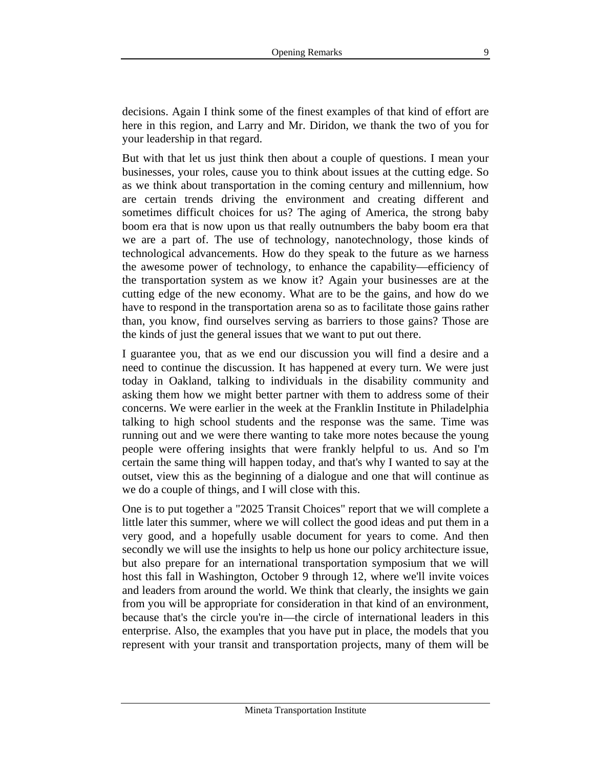decisions. Again I think some of the finest examples of that kind of effort are here in this region, and Larry and Mr. Diridon, we thank the two of you for your leadership in that regard.

But with that let us just think then about a couple of questions. I mean your businesses, your roles, cause you to think about issues at the cutting edge. So as we think about transportation in the coming century and millennium, how are certain trends driving the environment and creating different and sometimes difficult choices for us? The aging of America, the strong baby boom era that is now upon us that really outnumbers the baby boom era that we are a part of. The use of technology, nanotechnology, those kinds of technological advancements. How do they speak to the future as we harness the awesome power of technology, to enhance the capability—efficiency of the transportation system as we know it? Again your businesses are at the cutting edge of the new economy. What are to be the gains, and how do we have to respond in the transportation arena so as to facilitate those gains rather than, you know, find ourselves serving as barriers to those gains? Those are the kinds of just the general issues that we want to put out there.

I guarantee you, that as we end our discussion you will find a desire and a need to continue the discussion. It has happened at every turn. We were just today in Oakland, talking to individuals in the disability community and asking them how we might better partner with them to address some of their concerns. We were earlier in the week at the Franklin Institute in Philadelphia talking to high school students and the response was the same. Time was running out and we were there wanting to take more notes because the young people were offering insights that were frankly helpful to us. And so I'm certain the same thing will happen today, and that's why I wanted to say at the outset, view this as the beginning of a dialogue and one that will continue as we do a couple of things, and I will close with this.

One is to put together a "2025 Transit Choices" report that we will complete a little later this summer, where we will collect the good ideas and put them in a very good, and a hopefully usable document for years to come. And then secondly we will use the insights to help us hone our policy architecture issue, but also prepare for an international transportation symposium that we will host this fall in Washington, October 9 through 12, where we'll invite voices and leaders from around the world. We think that clearly, the insights we gain from you will be appropriate for consideration in that kind of an environment, because that's the circle you're in—the circle of international leaders in this enterprise. Also, the examples that you have put in place, the models that you represent with your transit and transportation projects, many of them will be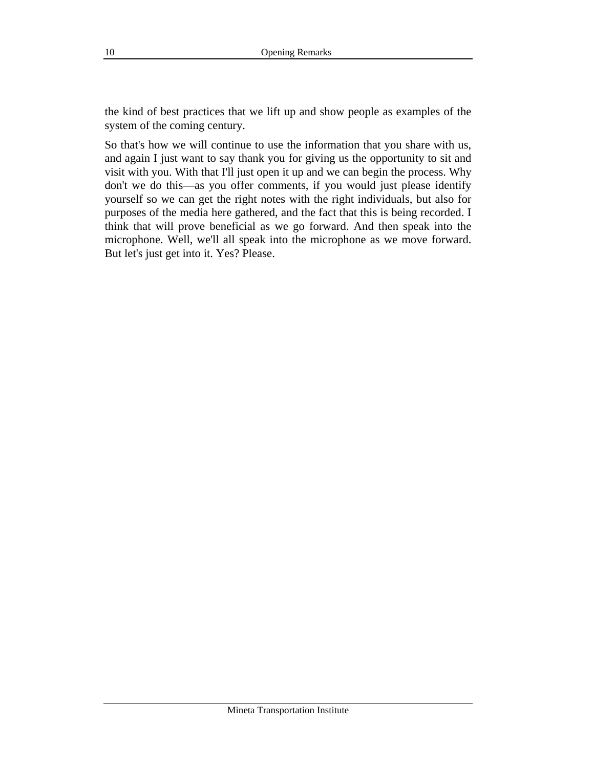the kind of best practices that we lift up and show people as examples of the system of the coming century.

So that's how we will continue to use the information that you share with us, and again I just want to say thank you for giving us the opportunity to sit and visit with you. With that I'll just open it up and we can begin the process. Why don't we do this—as you offer comments, if you would just please identify yourself so we can get the right notes with the right individuals, but also for purposes of the media here gathered, and the fact that this is being recorded. I think that will prove beneficial as we go forward. And then speak into the microphone. Well, we'll all speak into the microphone as we move forward. But let's just get into it. Yes? Please.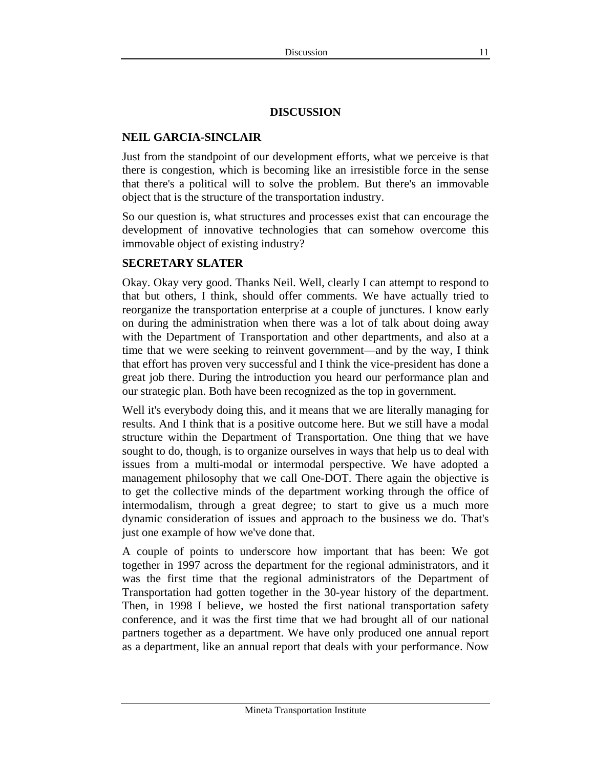#### **DISCUSSION**

#### **NEIL GARCIA-SINCLAIR**

Just from the standpoint of our development efforts, what we perceive is that there is congestion, which is becoming like an irresistible force in the sense that there's a political will to solve the problem. But there's an immovable object that is the structure of the transportation industry.

So our question is, what structures and processes exist that can encourage the development of innovative technologies that can somehow overcome this immovable object of existing industry?

#### **SECRETARY SLATER**

Okay. Okay very good. Thanks Neil. Well, clearly I can attempt to respond to that but others, I think, should offer comments. We have actually tried to reorganize the transportation enterprise at a couple of junctures. I know early on during the administration when there was a lot of talk about doing away with the Department of Transportation and other departments, and also at a time that we were seeking to reinvent government—and by the way, I think that effort has proven very successful and I think the vice-president has done a great job there. During the introduction you heard our performance plan and our strategic plan. Both have been recognized as the top in government.

Well it's everybody doing this, and it means that we are literally managing for results. And I think that is a positive outcome here. But we still have a modal structure within the Department of Transportation. One thing that we have sought to do, though, is to organize ourselves in ways that help us to deal with issues from a multi-modal or intermodal perspective. We have adopted a management philosophy that we call One-DOT. There again the objective is to get the collective minds of the department working through the office of intermodalism, through a great degree; to start to give us a much more dynamic consideration of issues and approach to the business we do. That's just one example of how we've done that.

A couple of points to underscore how important that has been: We got together in 1997 across the department for the regional administrators, and it was the first time that the regional administrators of the Department of Transportation had gotten together in the 30-year history of the department. Then, in 1998 I believe, we hosted the first national transportation safety conference, and it was the first time that we had brought all of our national partners together as a department. We have only produced one annual report as a department, like an annual report that deals with your performance. Now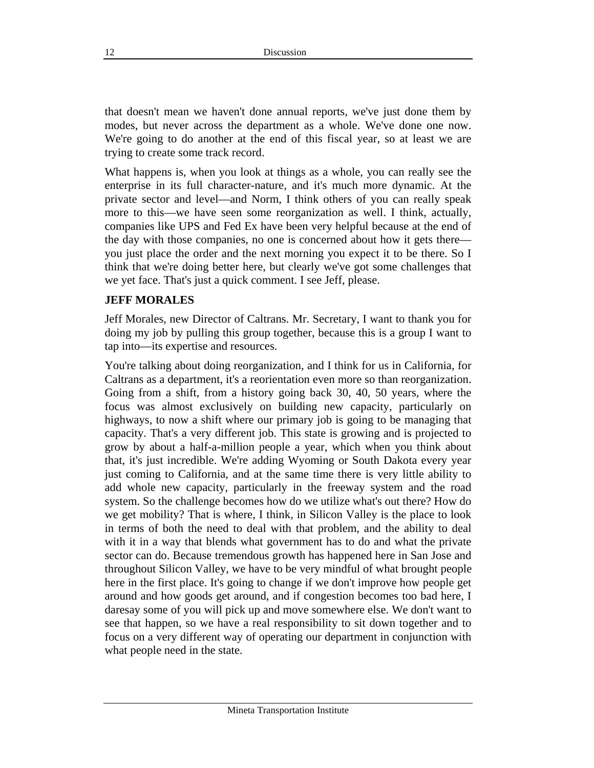that doesn't mean we haven't done annual reports, we've just done them by modes, but never across the department as a whole. We've done one now. We're going to do another at the end of this fiscal year, so at least we are trying to create some track record.

What happens is, when you look at things as a whole, you can really see the enterprise in its full character-nature, and it's much more dynamic. At the private sector and level—and Norm, I think others of you can really speak more to this—we have seen some reorganization as well. I think, actually, companies like UPS and Fed Ex have been very helpful because at the end of the day with those companies, no one is concerned about how it gets there you just place the order and the next morning you expect it to be there. So I think that we're doing better here, but clearly we've got some challenges that we yet face. That's just a quick comment. I see Jeff, please.

#### **JEFF MORALES**

Jeff Morales, new Director of Caltrans. Mr. Secretary, I want to thank you for doing my job by pulling this group together, because this is a group I want to tap into—its expertise and resources.

You're talking about doing reorganization, and I think for us in California, for Caltrans as a department, it's a reorientation even more so than reorganization. Going from a shift, from a history going back 30, 40, 50 years, where the focus was almost exclusively on building new capacity, particularly on highways, to now a shift where our primary job is going to be managing that capacity. That's a very different job. This state is growing and is projected to grow by about a half-a-million people a year, which when you think about that, it's just incredible. We're adding Wyoming or South Dakota every year just coming to California, and at the same time there is very little ability to add whole new capacity, particularly in the freeway system and the road system. So the challenge becomes how do we utilize what's out there? How do we get mobility? That is where, I think, in Silicon Valley is the place to look in terms of both the need to deal with that problem, and the ability to deal with it in a way that blends what government has to do and what the private sector can do. Because tremendous growth has happened here in San Jose and throughout Silicon Valley, we have to be very mindful of what brought people here in the first place. It's going to change if we don't improve how people get around and how goods get around, and if congestion becomes too bad here, I daresay some of you will pick up and move somewhere else. We don't want to see that happen, so we have a real responsibility to sit down together and to focus on a very different way of operating our department in conjunction with what people need in the state.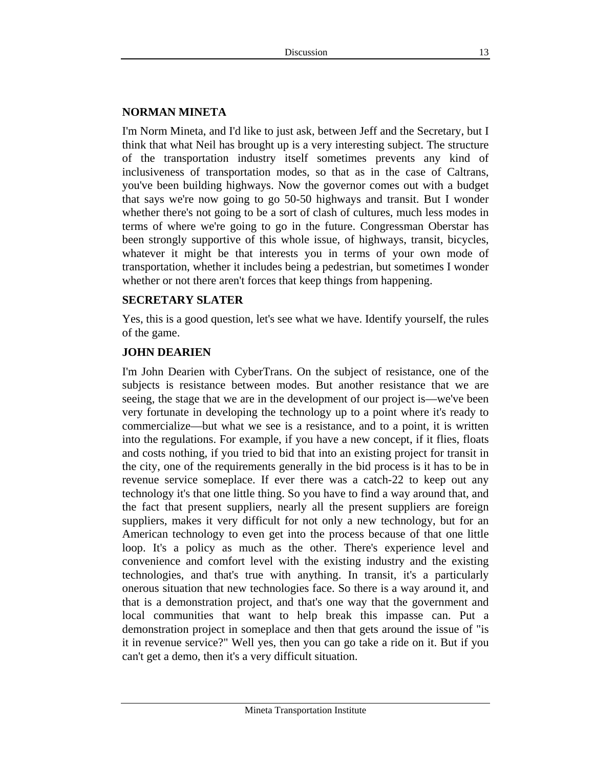## **NORMAN MINETA**

I'm Norm Mineta, and I'd like to just ask, between Jeff and the Secretary, but I think that what Neil has brought up is a very interesting subject. The structure of the transportation industry itself sometimes prevents any kind of inclusiveness of transportation modes, so that as in the case of Caltrans, you've been building highways. Now the governor comes out with a budget that says we're now going to go 50-50 highways and transit. But I wonder whether there's not going to be a sort of clash of cultures, much less modes in terms of where we're going to go in the future. Congressman Oberstar has been strongly supportive of this whole issue, of highways, transit, bicycles, whatever it might be that interests you in terms of your own mode of transportation, whether it includes being a pedestrian, but sometimes I wonder whether or not there aren't forces that keep things from happening.

#### **SECRETARY SLATER**

Yes, this is a good question, let's see what we have. Identify yourself, the rules of the game.

# **JOHN DEARIEN**

I'm John Dearien with CyberTrans. On the subject of resistance, one of the subjects is resistance between modes. But another resistance that we are seeing, the stage that we are in the development of our project is—we've been very fortunate in developing the technology up to a point where it's ready to commercialize—but what we see is a resistance, and to a point, it is written into the regulations. For example, if you have a new concept, if it flies, floats and costs nothing, if you tried to bid that into an existing project for transit in the city, one of the requirements generally in the bid process is it has to be in revenue service someplace. If ever there was a catch-22 to keep out any technology it's that one little thing. So you have to find a way around that, and the fact that present suppliers, nearly all the present suppliers are foreign suppliers, makes it very difficult for not only a new technology, but for an American technology to even get into the process because of that one little loop. It's a policy as much as the other. There's experience level and convenience and comfort level with the existing industry and the existing technologies, and that's true with anything. In transit, it's a particularly onerous situation that new technologies face. So there is a way around it, and that is a demonstration project, and that's one way that the government and local communities that want to help break this impasse can. Put a demonstration project in someplace and then that gets around the issue of "is it in revenue service?" Well yes, then you can go take a ride on it. But if you can't get a demo, then it's a very difficult situation.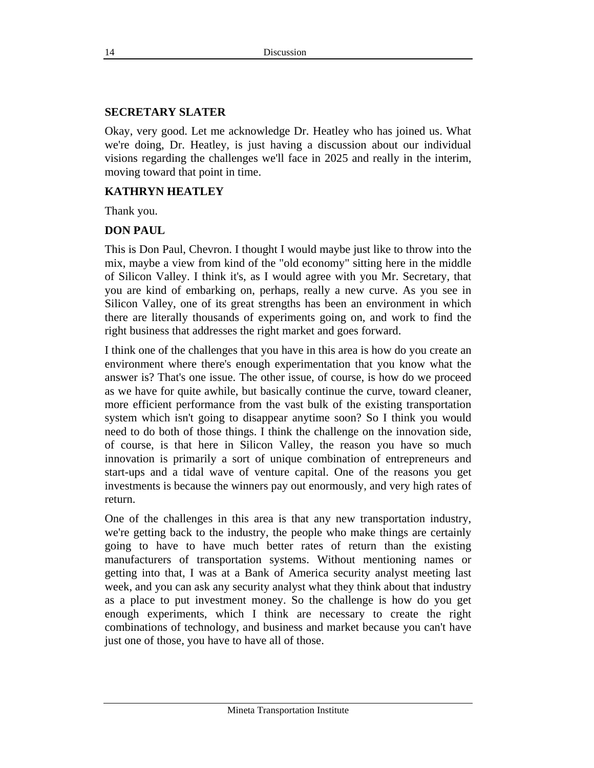#### **SECRETARY SLATER**

Okay, very good. Let me acknowledge Dr. Heatley who has joined us. What we're doing, Dr. Heatley, is just having a discussion about our individual visions regarding the challenges we'll face in 2025 and really in the interim, moving toward that point in time.

## **KATHRYN HEATLEY**

Thank you.

#### **DON PAUL**

This is Don Paul, Chevron. I thought I would maybe just like to throw into the mix, maybe a view from kind of the "old economy" sitting here in the middle of Silicon Valley. I think it's, as I would agree with you Mr. Secretary, that you are kind of embarking on, perhaps, really a new curve. As you see in Silicon Valley, one of its great strengths has been an environment in which there are literally thousands of experiments going on, and work to find the right business that addresses the right market and goes forward.

I think one of the challenges that you have in this area is how do you create an environment where there's enough experimentation that you know what the answer is? That's one issue. The other issue, of course, is how do we proceed as we have for quite awhile, but basically continue the curve, toward cleaner, more efficient performance from the vast bulk of the existing transportation system which isn't going to disappear anytime soon? So I think you would need to do both of those things. I think the challenge on the innovation side, of course, is that here in Silicon Valley, the reason you have so much innovation is primarily a sort of unique combination of entrepreneurs and start-ups and a tidal wave of venture capital. One of the reasons you get investments is because the winners pay out enormously, and very high rates of return.

One of the challenges in this area is that any new transportation industry, we're getting back to the industry, the people who make things are certainly going to have to have much better rates of return than the existing manufacturers of transportation systems. Without mentioning names or getting into that, I was at a Bank of America security analyst meeting last week, and you can ask any security analyst what they think about that industry as a place to put investment money. So the challenge is how do you get enough experiments, which I think are necessary to create the right combinations of technology, and business and market because you can't have just one of those, you have to have all of those.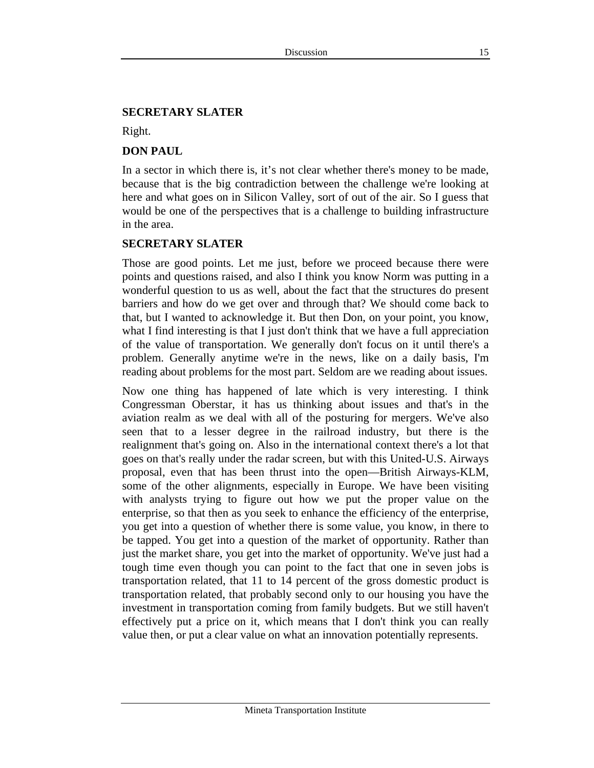#### **SECRETARY SLATER**

Right.

#### **DON PAUL**

In a sector in which there is, it's not clear whether there's money to be made, because that is the big contradiction between the challenge we're looking at here and what goes on in Silicon Valley, sort of out of the air. So I guess that would be one of the perspectives that is a challenge to building infrastructure in the area.

#### **SECRETARY SLATER**

Those are good points. Let me just, before we proceed because there were points and questions raised, and also I think you know Norm was putting in a wonderful question to us as well, about the fact that the structures do present barriers and how do we get over and through that? We should come back to that, but I wanted to acknowledge it. But then Don, on your point, you know, what I find interesting is that I just don't think that we have a full appreciation of the value of transportation. We generally don't focus on it until there's a problem. Generally anytime we're in the news, like on a daily basis, I'm reading about problems for the most part. Seldom are we reading about issues.

Now one thing has happened of late which is very interesting. I think Congressman Oberstar, it has us thinking about issues and that's in the aviation realm as we deal with all of the posturing for mergers. We've also seen that to a lesser degree in the railroad industry, but there is the realignment that's going on. Also in the international context there's a lot that goes on that's really under the radar screen, but with this United-U.S. Airways proposal, even that has been thrust into the open—British Airways-KLM, some of the other alignments, especially in Europe. We have been visiting with analysts trying to figure out how we put the proper value on the enterprise, so that then as you seek to enhance the efficiency of the enterprise, you get into a question of whether there is some value, you know, in there to be tapped. You get into a question of the market of opportunity. Rather than just the market share, you get into the market of opportunity. We've just had a tough time even though you can point to the fact that one in seven jobs is transportation related, that 11 to 14 percent of the gross domestic product is transportation related, that probably second only to our housing you have the investment in transportation coming from family budgets. But we still haven't effectively put a price on it, which means that I don't think you can really value then, or put a clear value on what an innovation potentially represents.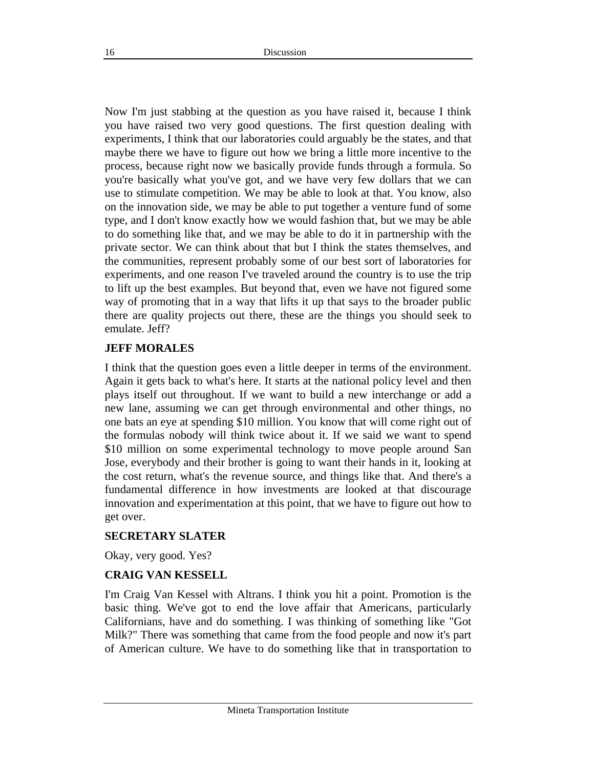Now I'm just stabbing at the question as you have raised it, because I think you have raised two very good questions. The first question dealing with experiments, I think that our laboratories could arguably be the states, and that maybe there we have to figure out how we bring a little more incentive to the process, because right now we basically provide funds through a formula. So you're basically what you've got, and we have very few dollars that we can use to stimulate competition. We may be able to look at that. You know, also on the innovation side, we may be able to put together a venture fund of some type, and I don't know exactly how we would fashion that, but we may be able to do something like that, and we may be able to do it in partnership with the private sector. We can think about that but I think the states themselves, and the communities, represent probably some of our best sort of laboratories for experiments, and one reason I've traveled around the country is to use the trip to lift up the best examples. But beyond that, even we have not figured some way of promoting that in a way that lifts it up that says to the broader public there are quality projects out there, these are the things you should seek to emulate. Jeff?

#### **JEFF MORALES**

I think that the question goes even a little deeper in terms of the environment. Again it gets back to what's here. It starts at the national policy level and then plays itself out throughout. If we want to build a new interchange or add a new lane, assuming we can get through environmental and other things, no one bats an eye at spending \$10 million. You know that will come right out of the formulas nobody will think twice about it. If we said we want to spend \$10 million on some experimental technology to move people around San Jose, everybody and their brother is going to want their hands in it, looking at the cost return, what's the revenue source, and things like that. And there's a fundamental difference in how investments are looked at that discourage innovation and experimentation at this point, that we have to figure out how to get over.

#### **SECRETARY SLATER**

Okay, very good. Yes?

#### **CRAIG VAN KESSELL**

I'm Craig Van Kessel with Altrans. I think you hit a point. Promotion is the basic thing. We've got to end the love affair that Americans, particularly Californians, have and do something. I was thinking of something like "Got Milk?" There was something that came from the food people and now it's part of American culture. We have to do something like that in transportation to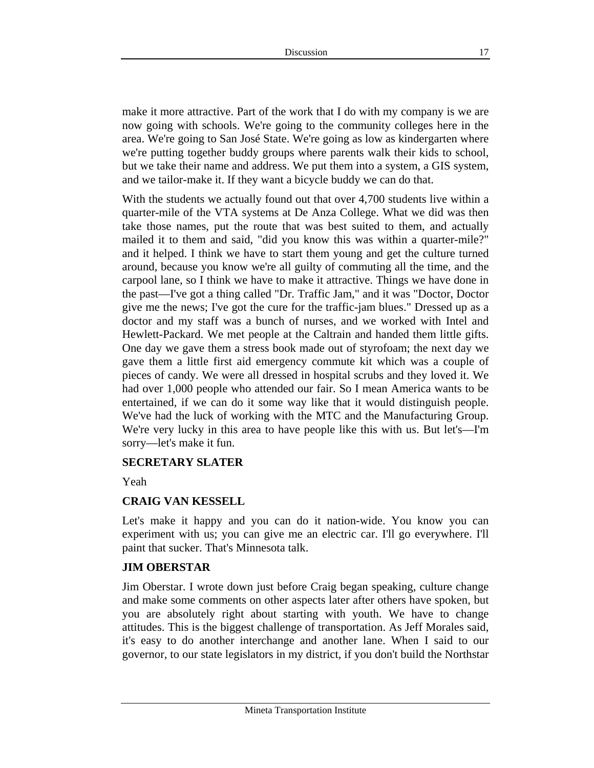make it more attractive. Part of the work that I do with my company is we are now going with schools. We're going to the community colleges here in the area. We're going to San José State. We're going as low as kindergarten where we're putting together buddy groups where parents walk their kids to school, but we take their name and address. We put them into a system, a GIS system, and we tailor-make it. If they want a bicycle buddy we can do that.

With the students we actually found out that over 4,700 students live within a quarter-mile of the VTA systems at De Anza College. What we did was then take those names, put the route that was best suited to them, and actually mailed it to them and said, "did you know this was within a quarter-mile?" and it helped. I think we have to start them young and get the culture turned around, because you know we're all guilty of commuting all the time, and the carpool lane, so I think we have to make it attractive. Things we have done in the past—I've got a thing called "Dr. Traffic Jam," and it was "Doctor, Doctor give me the news; I've got the cure for the traffic-jam blues." Dressed up as a doctor and my staff was a bunch of nurses, and we worked with Intel and Hewlett-Packard. We met people at the Caltrain and handed them little gifts. One day we gave them a stress book made out of styrofoam; the next day we gave them a little first aid emergency commute kit which was a couple of pieces of candy. We were all dressed in hospital scrubs and they loved it. We had over 1,000 people who attended our fair. So I mean America wants to be entertained, if we can do it some way like that it would distinguish people. We've had the luck of working with the MTC and the Manufacturing Group. We're very lucky in this area to have people like this with us. But let's—I'm sorry—let's make it fun.

#### **SECRETARY SLATER**

Yeah

#### **CRAIG VAN KESSELL**

Let's make it happy and you can do it nation-wide. You know you can experiment with us; you can give me an electric car. I'll go everywhere. I'll paint that sucker. That's Minnesota talk.

#### **JIM OBERSTAR**

Jim Oberstar. I wrote down just before Craig began speaking, culture change and make some comments on other aspects later after others have spoken, but you are absolutely right about starting with youth. We have to change attitudes. This is the biggest challenge of transportation. As Jeff Morales said, it's easy to do another interchange and another lane. When I said to our governor, to our state legislators in my district, if you don't build the Northstar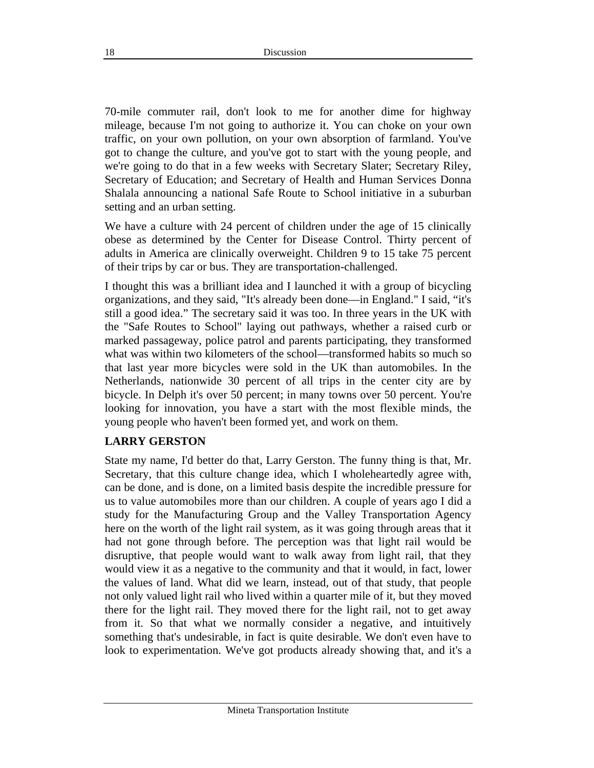70-mile commuter rail, don't look to me for another dime for highway mileage, because I'm not going to authorize it. You can choke on your own traffic, on your own pollution, on your own absorption of farmland. You've got to change the culture, and you've got to start with the young people, and we're going to do that in a few weeks with Secretary Slater; Secretary Riley, Secretary of Education; and Secretary of Health and Human Services Donna Shalala announcing a national Safe Route to School initiative in a suburban setting and an urban setting.

We have a culture with 24 percent of children under the age of 15 clinically obese as determined by the Center for Disease Control. Thirty percent of adults in America are clinically overweight. Children 9 to 15 take 75 percent of their trips by car or bus. They are transportation-challenged.

I thought this was a brilliant idea and I launched it with a group of bicycling organizations, and they said, "It's already been done—in England." I said, "it's still a good idea." The secretary said it was too. In three years in the UK with the "Safe Routes to School" laying out pathways, whether a raised curb or marked passageway, police patrol and parents participating, they transformed what was within two kilometers of the school—transformed habits so much so that last year more bicycles were sold in the UK than automobiles. In the Netherlands, nationwide 30 percent of all trips in the center city are by bicycle. In Delph it's over 50 percent; in many towns over 50 percent. You're looking for innovation, you have a start with the most flexible minds, the young people who haven't been formed yet, and work on them.

#### **LARRY GERSTON**

State my name, I'd better do that, Larry Gerston. The funny thing is that, Mr. Secretary, that this culture change idea, which I wholeheartedly agree with, can be done, and is done, on a limited basis despite the incredible pressure for us to value automobiles more than our children. A couple of years ago I did a study for the Manufacturing Group and the Valley Transportation Agency here on the worth of the light rail system, as it was going through areas that it had not gone through before. The perception was that light rail would be disruptive, that people would want to walk away from light rail, that they would view it as a negative to the community and that it would, in fact, lower the values of land. What did we learn, instead, out of that study, that people not only valued light rail who lived within a quarter mile of it, but they moved there for the light rail. They moved there for the light rail, not to get away from it. So that what we normally consider a negative, and intuitively something that's undesirable, in fact is quite desirable. We don't even have to look to experimentation. We've got products already showing that, and it's a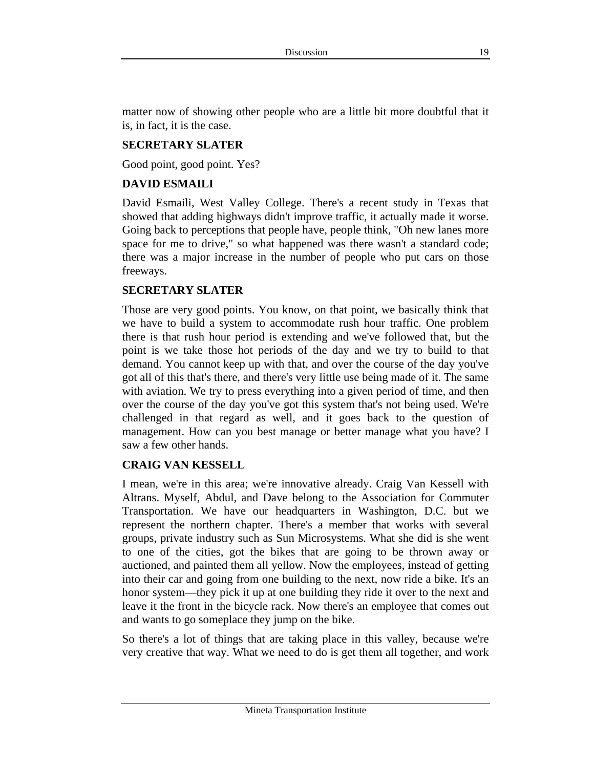matter now of showing other people who are a little bit more doubtful that it is, in fact, it is the case.

#### **SECRETARY SLATER**

Good point, good point. Yes?

## **DAVID ESMAILI**

David Esmaili, West Valley College. There's a recent study in Texas that showed that adding highways didn't improve traffic, it actually made it worse. Going back to perceptions that people have, people think, "Oh new lanes more space for me to drive," so what happened was there wasn't a standard code; there was a major increase in the number of people who put cars on those freeways.

#### **SECRETARY SLATER**

Those are very good points. You know, on that point, we basically think that we have to build a system to accommodate rush hour traffic. One problem there is that rush hour period is extending and we've followed that, but the point is we take those hot periods of the day and we try to build to that demand. You cannot keep up with that, and over the course of the day you've got all of this that's there, and there's very little use being made of it. The same with aviation. We try to press everything into a given period of time, and then over the course of the day you've got this system that's not being used. We're challenged in that regard as well, and it goes back to the question of management. How can you best manage or better manage what you have? I saw a few other hands.

#### **CRAIG VAN KESSELL**

I mean, we're in this area; we're innovative already. Craig Van Kessell with Altrans. Myself, Abdul, and Dave belong to the Association for Commuter Transportation. We have our headquarters in Washington, D.C. but we represent the northern chapter. There's a member that works with several groups, private industry such as Sun Microsystems. What she did is she went to one of the cities, got the bikes that are going to be thrown away or auctioned, and painted them all yellow. Now the employees, instead of getting into their car and going from one building to the next, now ride a bike. It's an honor system—they pick it up at one building they ride it over to the next and leave it the front in the bicycle rack. Now there's an employee that comes out and wants to go someplace they jump on the bike.

So there's a lot of things that are taking place in this valley, because we're very creative that way. What we need to do is get them all together, and work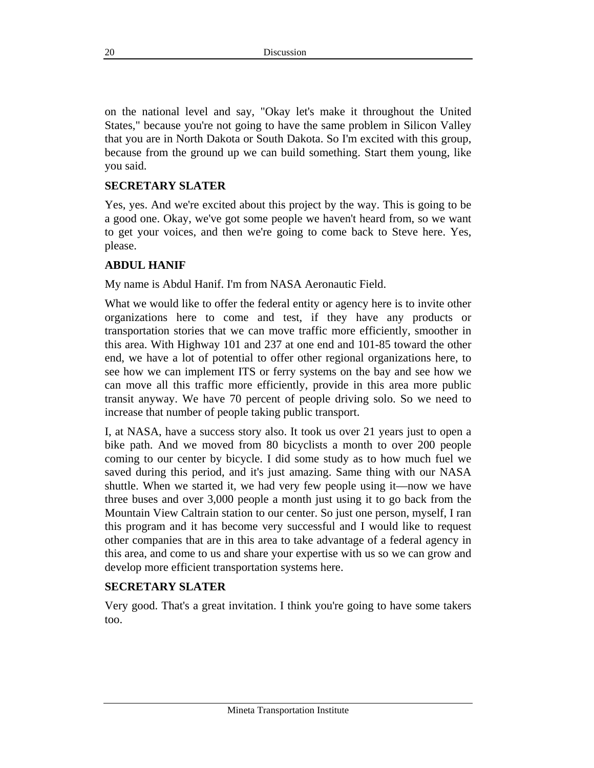on the national level and say, "Okay let's make it throughout the United States," because you're not going to have the same problem in Silicon Valley that you are in North Dakota or South Dakota. So I'm excited with this group, because from the ground up we can build something. Start them young, like you said.

## **SECRETARY SLATER**

Yes, yes. And we're excited about this project by the way. This is going to be a good one. Okay, we've got some people we haven't heard from, so we want to get your voices, and then we're going to come back to Steve here. Yes, please.

## **ABDUL HANIF**

My name is Abdul Hanif. I'm from NASA Aeronautic Field.

What we would like to offer the federal entity or agency here is to invite other organizations here to come and test, if they have any products or transportation stories that we can move traffic more efficiently, smoother in this area. With Highway 101 and 237 at one end and 101-85 toward the other end, we have a lot of potential to offer other regional organizations here, to see how we can implement ITS or ferry systems on the bay and see how we can move all this traffic more efficiently, provide in this area more public transit anyway. We have 70 percent of people driving solo. So we need to increase that number of people taking public transport.

I, at NASA, have a success story also. It took us over 21 years just to open a bike path. And we moved from 80 bicyclists a month to over 200 people coming to our center by bicycle. I did some study as to how much fuel we saved during this period, and it's just amazing. Same thing with our NASA shuttle. When we started it, we had very few people using it—now we have three buses and over 3,000 people a month just using it to go back from the Mountain View Caltrain station to our center. So just one person, myself, I ran this program and it has become very successful and I would like to request other companies that are in this area to take advantage of a federal agency in this area, and come to us and share your expertise with us so we can grow and develop more efficient transportation systems here.

#### **SECRETARY SLATER**

Very good. That's a great invitation. I think you're going to have some takers too.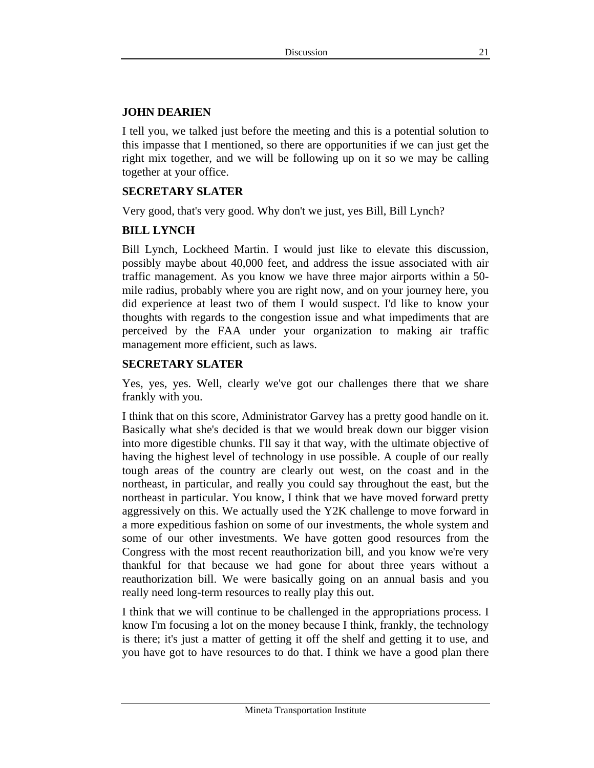#### **JOHN DEARIEN**

I tell you, we talked just before the meeting and this is a potential solution to this impasse that I mentioned, so there are opportunities if we can just get the right mix together, and we will be following up on it so we may be calling together at your office.

# **SECRETARY SLATER**

Very good, that's very good. Why don't we just, yes Bill, Bill Lynch?

## **BILL LYNCH**

Bill Lynch, Lockheed Martin. I would just like to elevate this discussion, possibly maybe about 40,000 feet, and address the issue associated with air traffic management. As you know we have three major airports within a 50 mile radius, probably where you are right now, and on your journey here, you did experience at least two of them I would suspect. I'd like to know your thoughts with regards to the congestion issue and what impediments that are perceived by the FAA under your organization to making air traffic management more efficient, such as laws.

#### **SECRETARY SLATER**

Yes, yes, yes. Well, clearly we've got our challenges there that we share frankly with you.

I think that on this score, Administrator Garvey has a pretty good handle on it. Basically what she's decided is that we would break down our bigger vision into more digestible chunks. I'll say it that way, with the ultimate objective of having the highest level of technology in use possible. A couple of our really tough areas of the country are clearly out west, on the coast and in the northeast, in particular, and really you could say throughout the east, but the northeast in particular. You know, I think that we have moved forward pretty aggressively on this. We actually used the Y2K challenge to move forward in a more expeditious fashion on some of our investments, the whole system and some of our other investments. We have gotten good resources from the Congress with the most recent reauthorization bill, and you know we're very thankful for that because we had gone for about three years without a reauthorization bill. We were basically going on an annual basis and you really need long-term resources to really play this out.

I think that we will continue to be challenged in the appropriations process. I know I'm focusing a lot on the money because I think, frankly, the technology is there; it's just a matter of getting it off the shelf and getting it to use, and you have got to have resources to do that. I think we have a good plan there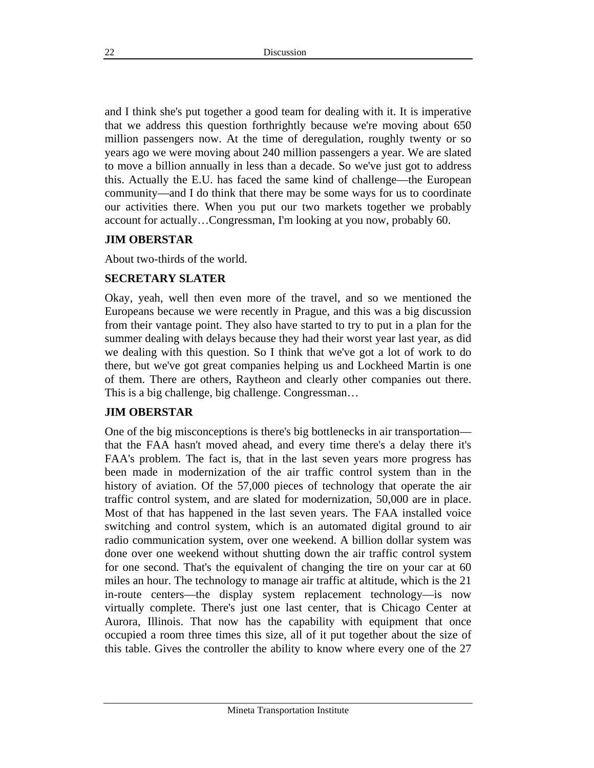and I think she's put together a good team for dealing with it. It is imperative that we address this question forthrightly because we're moving about 650 million passengers now. At the time of deregulation, roughly twenty or so years ago we were moving about 240 million passengers a year. We are slated to move a billion annually in less than a decade. So we've just got to address this. Actually the E.U. has faced the same kind of challenge—the European community—and I do think that there may be some ways for us to coordinate our activities there. When you put our two markets together we probably account for actually…Congressman, I'm looking at you now, probably 60.

#### **JIM OBERSTAR**

About two-thirds of the world.

#### **SECRETARY SLATER**

Okay, yeah, well then even more of the travel, and so we mentioned the Europeans because we were recently in Prague, and this was a big discussion from their vantage point. They also have started to try to put in a plan for the summer dealing with delays because they had their worst year last year, as did we dealing with this question. So I think that we've got a lot of work to do there, but we've got great companies helping us and Lockheed Martin is one of them. There are others, Raytheon and clearly other companies out there. This is a big challenge, big challenge. Congressman…

#### **JIM OBERSTAR**

One of the big misconceptions is there's big bottlenecks in air transportation that the FAA hasn't moved ahead, and every time there's a delay there it's FAA's problem. The fact is, that in the last seven years more progress has been made in modernization of the air traffic control system than in the history of aviation. Of the 57,000 pieces of technology that operate the air traffic control system, and are slated for modernization, 50,000 are in place. Most of that has happened in the last seven years. The FAA installed voice switching and control system, which is an automated digital ground to air radio communication system, over one weekend. A billion dollar system was done over one weekend without shutting down the air traffic control system for one second. That's the equivalent of changing the tire on your car at 60 miles an hour. The technology to manage air traffic at altitude, which is the 21 in-route centers—the display system replacement technology—is now virtually complete. There's just one last center, that is Chicago Center at Aurora, Illinois. That now has the capability with equipment that once occupied a room three times this size, all of it put together about the size of this table. Gives the controller the ability to know where every one of the 27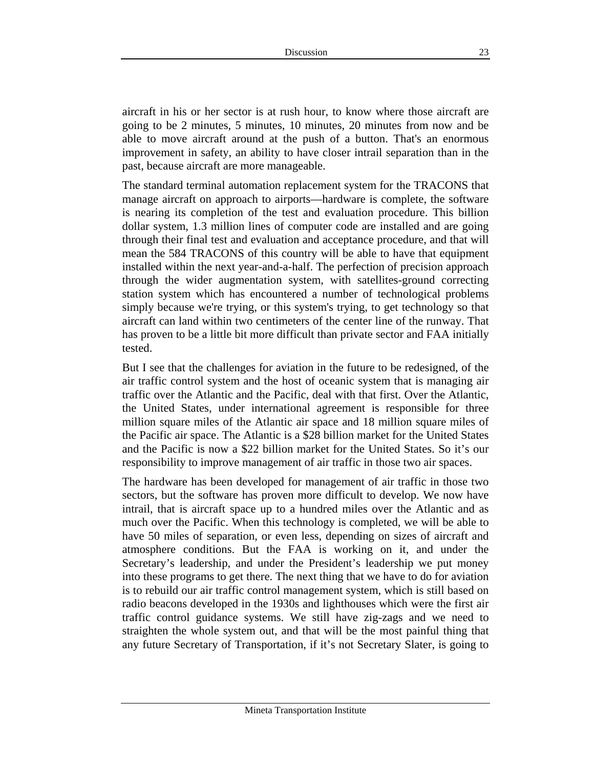aircraft in his or her sector is at rush hour, to know where those aircraft are going to be 2 minutes, 5 minutes, 10 minutes, 20 minutes from now and be able to move aircraft around at the push of a button. That's an enormous improvement in safety, an ability to have closer intrail separation than in the past, because aircraft are more manageable.

The standard terminal automation replacement system for the TRACONS that manage aircraft on approach to airports—hardware is complete, the software is nearing its completion of the test and evaluation procedure. This billion dollar system, 1.3 million lines of computer code are installed and are going through their final test and evaluation and acceptance procedure, and that will mean the 584 TRACONS of this country will be able to have that equipment installed within the next year-and-a-half. The perfection of precision approach through the wider augmentation system, with satellites-ground correcting station system which has encountered a number of technological problems simply because we're trying, or this system's trying, to get technology so that aircraft can land within two centimeters of the center line of the runway. That has proven to be a little bit more difficult than private sector and FAA initially tested.

But I see that the challenges for aviation in the future to be redesigned, of the air traffic control system and the host of oceanic system that is managing air traffic over the Atlantic and the Pacific, deal with that first. Over the Atlantic, the United States, under international agreement is responsible for three million square miles of the Atlantic air space and 18 million square miles of the Pacific air space. The Atlantic is a \$28 billion market for the United States and the Pacific is now a \$22 billion market for the United States. So it's our responsibility to improve management of air traffic in those two air spaces.

The hardware has been developed for management of air traffic in those two sectors, but the software has proven more difficult to develop. We now have intrail, that is aircraft space up to a hundred miles over the Atlantic and as much over the Pacific. When this technology is completed, we will be able to have 50 miles of separation, or even less, depending on sizes of aircraft and atmosphere conditions. But the FAA is working on it, and under the Secretary's leadership, and under the President's leadership we put money into these programs to get there. The next thing that we have to do for aviation is to rebuild our air traffic control management system, which is still based on radio beacons developed in the 1930s and lighthouses which were the first air traffic control guidance systems. We still have zig-zags and we need to straighten the whole system out, and that will be the most painful thing that any future Secretary of Transportation, if it's not Secretary Slater, is going to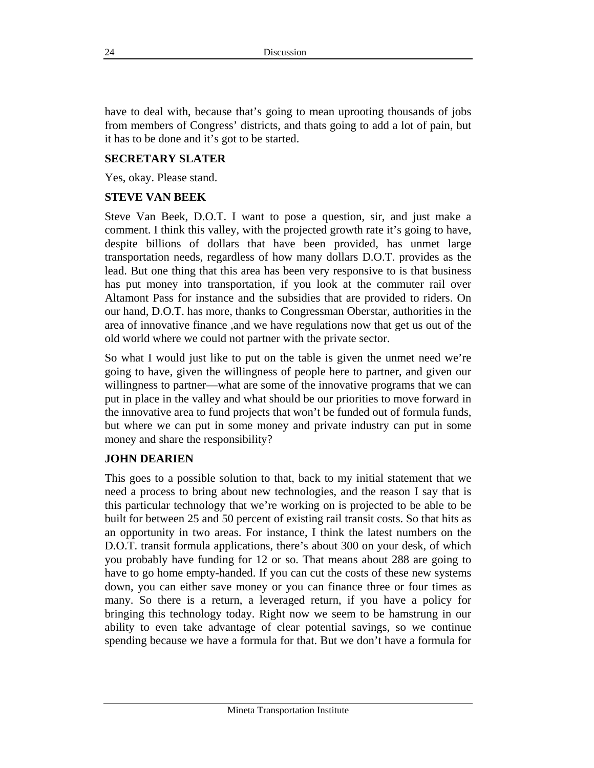have to deal with, because that's going to mean uprooting thousands of jobs from members of Congress' districts, and thats going to add a lot of pain, but it has to be done and it's got to be started.

#### **SECRETARY SLATER**

Yes, okay. Please stand.

#### **STEVE VAN BEEK**

Steve Van Beek, D.O.T. I want to pose a question, sir, and just make a comment. I think this valley, with the projected growth rate it's going to have, despite billions of dollars that have been provided, has unmet large transportation needs, regardless of how many dollars D.O.T. provides as the lead. But one thing that this area has been very responsive to is that business has put money into transportation, if you look at the commuter rail over Altamont Pass for instance and the subsidies that are provided to riders. On our hand, D.O.T. has more, thanks to Congressman Oberstar, authorities in the area of innovative finance ,and we have regulations now that get us out of the old world where we could not partner with the private sector.

So what I would just like to put on the table is given the unmet need we're going to have, given the willingness of people here to partner, and given our willingness to partner—what are some of the innovative programs that we can put in place in the valley and what should be our priorities to move forward in the innovative area to fund projects that won't be funded out of formula funds, but where we can put in some money and private industry can put in some money and share the responsibility?

#### **JOHN DEARIEN**

This goes to a possible solution to that, back to my initial statement that we need a process to bring about new technologies, and the reason I say that is this particular technology that we're working on is projected to be able to be built for between 25 and 50 percent of existing rail transit costs. So that hits as an opportunity in two areas. For instance, I think the latest numbers on the D.O.T. transit formula applications, there's about 300 on your desk, of which you probably have funding for 12 or so. That means about 288 are going to have to go home empty-handed. If you can cut the costs of these new systems down, you can either save money or you can finance three or four times as many. So there is a return, a leveraged return, if you have a policy for bringing this technology today. Right now we seem to be hamstrung in our ability to even take advantage of clear potential savings, so we continue spending because we have a formula for that. But we don't have a formula for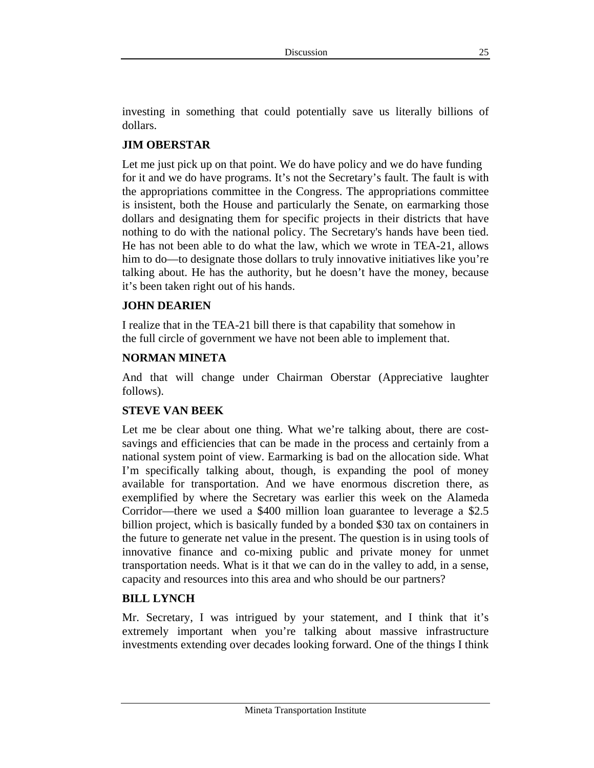investing in something that could potentially save us literally billions of dollars.

## **JIM OBERSTAR**

Let me just pick up on that point. We do have policy and we do have funding for it and we do have programs. It's not the Secretary's fault. The fault is with the appropriations committee in the Congress. The appropriations committee is insistent, both the House and particularly the Senate, on earmarking those dollars and designating them for specific projects in their districts that have nothing to do with the national policy. The Secretary's hands have been tied. He has not been able to do what the law, which we wrote in TEA-21, allows him to do—to designate those dollars to truly innovative initiatives like you're talking about. He has the authority, but he doesn't have the money, because it's been taken right out of his hands.

#### **JOHN DEARIEN**

I realize that in the TEA-21 bill there is that capability that somehow in the full circle of government we have not been able to implement that.

#### **NORMAN MINETA**

And that will change under Chairman Oberstar (Appreciative laughter follows).

#### **STEVE VAN BEEK**

Let me be clear about one thing. What we're talking about, there are costsavings and efficiencies that can be made in the process and certainly from a national system point of view. Earmarking is bad on the allocation side. What I'm specifically talking about, though, is expanding the pool of money available for transportation. And we have enormous discretion there, as exemplified by where the Secretary was earlier this week on the Alameda Corridor—there we used a \$400 million loan guarantee to leverage a \$2.5 billion project, which is basically funded by a bonded \$30 tax on containers in the future to generate net value in the present. The question is in using tools of innovative finance and co-mixing public and private money for unmet transportation needs. What is it that we can do in the valley to add, in a sense, capacity and resources into this area and who should be our partners?

#### **BILL LYNCH**

Mr. Secretary, I was intrigued by your statement, and I think that it's extremely important when you're talking about massive infrastructure investments extending over decades looking forward. One of the things I think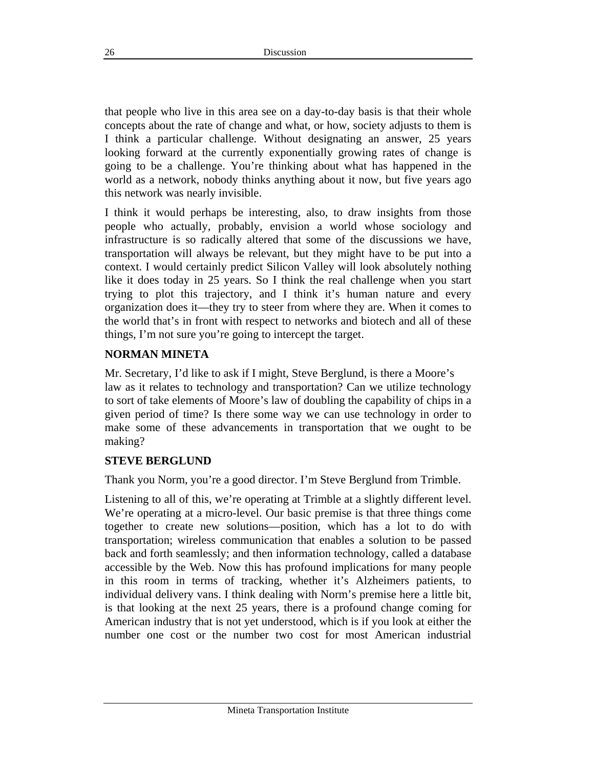that people who live in this area see on a day-to-day basis is that their whole concepts about the rate of change and what, or how, society adjusts to them is I think a particular challenge. Without designating an answer, 25 years looking forward at the currently exponentially growing rates of change is going to be a challenge. You're thinking about what has happened in the world as a network, nobody thinks anything about it now, but five years ago this network was nearly invisible.

I think it would perhaps be interesting, also, to draw insights from those people who actually, probably, envision a world whose sociology and infrastructure is so radically altered that some of the discussions we have, transportation will always be relevant, but they might have to be put into a context. I would certainly predict Silicon Valley will look absolutely nothing like it does today in 25 years. So I think the real challenge when you start trying to plot this trajectory, and I think it's human nature and every organization does it—they try to steer from where they are. When it comes to the world that's in front with respect to networks and biotech and all of these things, I'm not sure you're going to intercept the target.

#### **NORMAN MINETA**

Mr. Secretary, I'd like to ask if I might, Steve Berglund, is there a Moore's law as it relates to technology and transportation? Can we utilize technology to sort of take elements of Moore's law of doubling the capability of chips in a given period of time? Is there some way we can use technology in order to make some of these advancements in transportation that we ought to be making?

#### **STEVE BERGLUND**

Thank you Norm, you're a good director. I'm Steve Berglund from Trimble.

Listening to all of this, we're operating at Trimble at a slightly different level. We're operating at a micro-level. Our basic premise is that three things come together to create new solutions—position, which has a lot to do with transportation; wireless communication that enables a solution to be passed back and forth seamlessly; and then information technology, called a database accessible by the Web. Now this has profound implications for many people in this room in terms of tracking, whether it's Alzheimers patients, to individual delivery vans. I think dealing with Norm's premise here a little bit, is that looking at the next 25 years, there is a profound change coming for American industry that is not yet understood, which is if you look at either the number one cost or the number two cost for most American industrial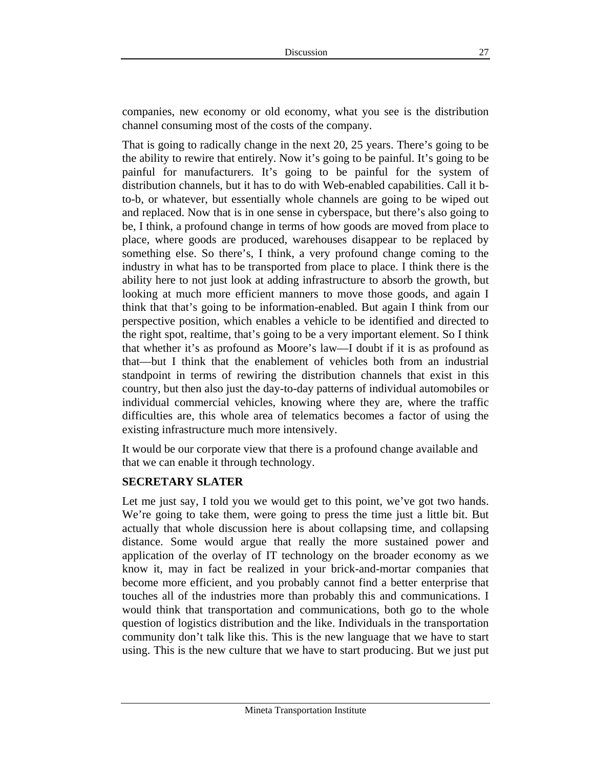companies, new economy or old economy, what you see is the distribution channel consuming most of the costs of the company.

That is going to radically change in the next 20, 25 years. There's going to be the ability to rewire that entirely. Now it's going to be painful. It's going to be painful for manufacturers. It's going to be painful for the system of distribution channels, but it has to do with Web-enabled capabilities. Call it bto-b, or whatever, but essentially whole channels are going to be wiped out and replaced. Now that is in one sense in cyberspace, but there's also going to be, I think, a profound change in terms of how goods are moved from place to place, where goods are produced, warehouses disappear to be replaced by something else. So there's, I think, a very profound change coming to the industry in what has to be transported from place to place. I think there is the ability here to not just look at adding infrastructure to absorb the growth, but looking at much more efficient manners to move those goods, and again I think that that's going to be information-enabled. But again I think from our perspective position, which enables a vehicle to be identified and directed to the right spot, realtime, that's going to be a very important element. So I think that whether it's as profound as Moore's law—I doubt if it is as profound as that—but I think that the enablement of vehicles both from an industrial standpoint in terms of rewiring the distribution channels that exist in this country, but then also just the day-to-day patterns of individual automobiles or individual commercial vehicles, knowing where they are, where the traffic difficulties are, this whole area of telematics becomes a factor of using the existing infrastructure much more intensively.

It would be our corporate view that there is a profound change available and that we can enable it through technology.

#### **SECRETARY SLATER**

Let me just say, I told you we would get to this point, we've got two hands. We're going to take them, were going to press the time just a little bit. But actually that whole discussion here is about collapsing time, and collapsing distance. Some would argue that really the more sustained power and application of the overlay of IT technology on the broader economy as we know it, may in fact be realized in your brick-and-mortar companies that become more efficient, and you probably cannot find a better enterprise that touches all of the industries more than probably this and communications. I would think that transportation and communications, both go to the whole question of logistics distribution and the like. Individuals in the transportation community don't talk like this. This is the new language that we have to start using. This is the new culture that we have to start producing. But we just put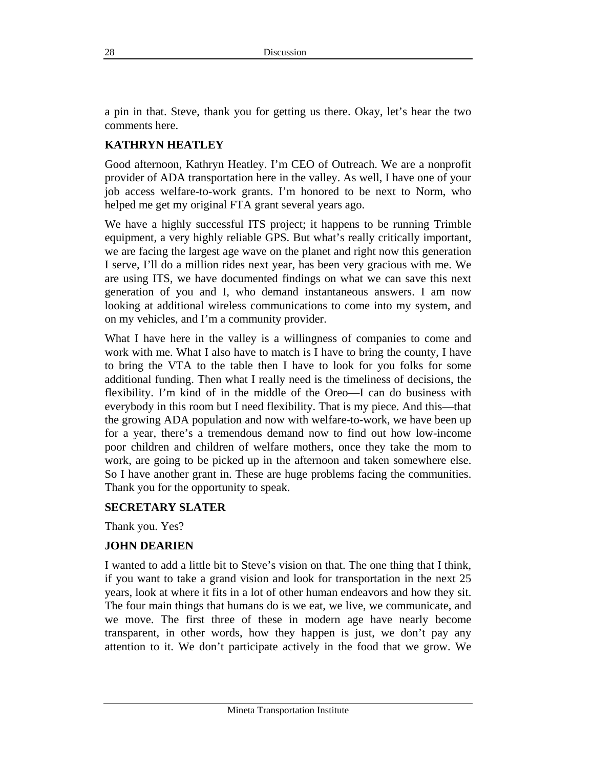a pin in that. Steve, thank you for getting us there. Okay, let's hear the two comments here.

## **KATHRYN HEATLEY**

Good afternoon, Kathryn Heatley. I'm CEO of Outreach. We are a nonprofit provider of ADA transportation here in the valley. As well, I have one of your job access welfare-to-work grants. I'm honored to be next to Norm, who helped me get my original FTA grant several years ago.

We have a highly successful ITS project; it happens to be running Trimble equipment, a very highly reliable GPS. But what's really critically important, we are facing the largest age wave on the planet and right now this generation I serve, I'll do a million rides next year, has been very gracious with me. We are using ITS, we have documented findings on what we can save this next generation of you and I, who demand instantaneous answers. I am now looking at additional wireless communications to come into my system, and on my vehicles, and I'm a community provider.

What I have here in the valley is a willingness of companies to come and work with me. What I also have to match is I have to bring the county, I have to bring the VTA to the table then I have to look for you folks for some additional funding. Then what I really need is the timeliness of decisions, the flexibility. I'm kind of in the middle of the Oreo—I can do business with everybody in this room but I need flexibility. That is my piece. And this—that the growing ADA population and now with welfare-to-work, we have been up for a year, there's a tremendous demand now to find out how low-income poor children and children of welfare mothers, once they take the mom to work, are going to be picked up in the afternoon and taken somewhere else. So I have another grant in. These are huge problems facing the communities. Thank you for the opportunity to speak.

#### **SECRETARY SLATER**

Thank you. Yes?

#### **JOHN DEARIEN**

I wanted to add a little bit to Steve's vision on that. The one thing that I think, if you want to take a grand vision and look for transportation in the next 25 years, look at where it fits in a lot of other human endeavors and how they sit. The four main things that humans do is we eat, we live, we communicate, and we move. The first three of these in modern age have nearly become transparent, in other words, how they happen is just, we don't pay any attention to it. We don't participate actively in the food that we grow. We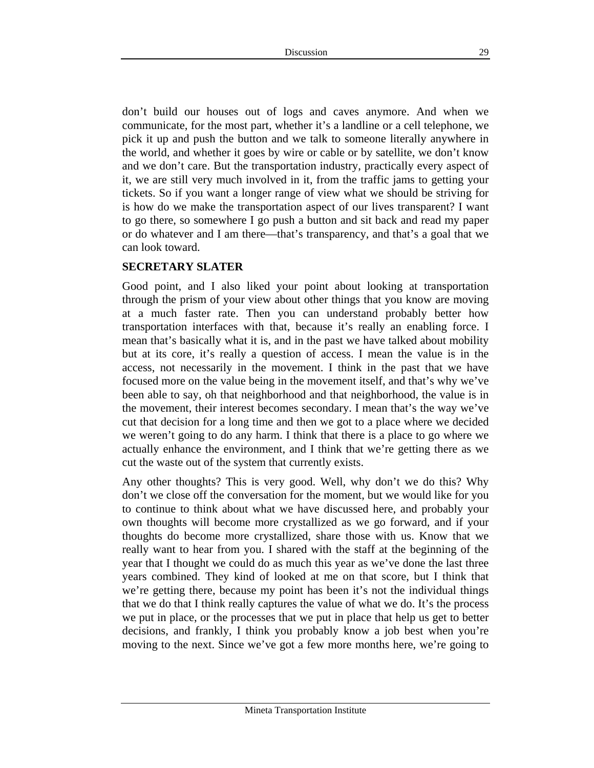don't build our houses out of logs and caves anymore. And when we communicate, for the most part, whether it's a landline or a cell telephone, we pick it up and push the button and we talk to someone literally anywhere in the world, and whether it goes by wire or cable or by satellite, we don't know and we don't care. But the transportation industry, practically every aspect of it, we are still very much involved in it, from the traffic jams to getting your tickets. So if you want a longer range of view what we should be striving for is how do we make the transportation aspect of our lives transparent? I want to go there, so somewhere I go push a button and sit back and read my paper or do whatever and I am there—that's transparency, and that's a goal that we can look toward.

#### **SECRETARY SLATER**

Good point, and I also liked your point about looking at transportation through the prism of your view about other things that you know are moving at a much faster rate. Then you can understand probably better how transportation interfaces with that, because it's really an enabling force. I mean that's basically what it is, and in the past we have talked about mobility but at its core, it's really a question of access. I mean the value is in the access, not necessarily in the movement. I think in the past that we have focused more on the value being in the movement itself, and that's why we've been able to say, oh that neighborhood and that neighborhood, the value is in the movement, their interest becomes secondary. I mean that's the way we've cut that decision for a long time and then we got to a place where we decided we weren't going to do any harm. I think that there is a place to go where we actually enhance the environment, and I think that we're getting there as we cut the waste out of the system that currently exists.

Any other thoughts? This is very good. Well, why don't we do this? Why don't we close off the conversation for the moment, but we would like for you to continue to think about what we have discussed here, and probably your own thoughts will become more crystallized as we go forward, and if your thoughts do become more crystallized, share those with us. Know that we really want to hear from you. I shared with the staff at the beginning of the year that I thought we could do as much this year as we've done the last three years combined. They kind of looked at me on that score, but I think that we're getting there, because my point has been it's not the individual things that we do that I think really captures the value of what we do. It's the process we put in place, or the processes that we put in place that help us get to better decisions, and frankly, I think you probably know a job best when you're moving to the next. Since we've got a few more months here, we're going to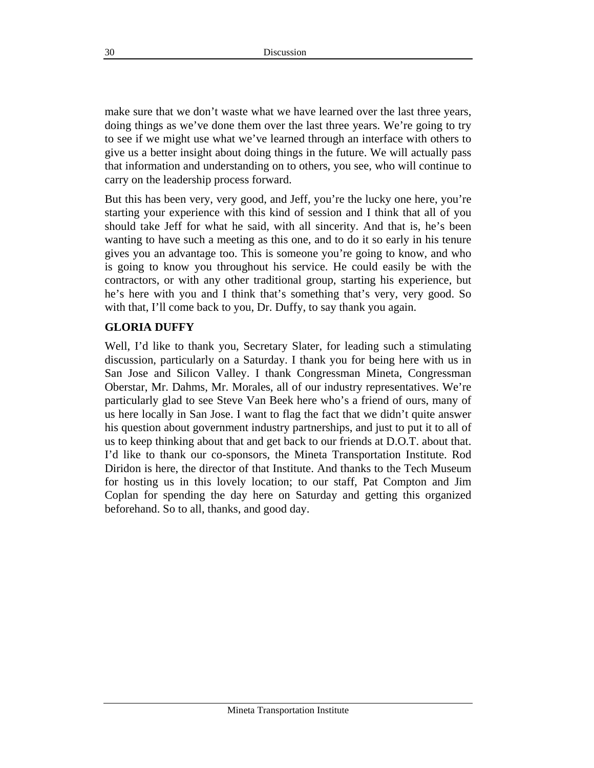make sure that we don't waste what we have learned over the last three years, doing things as we've done them over the last three years. We're going to try to see if we might use what we've learned through an interface with others to give us a better insight about doing things in the future. We will actually pass that information and understanding on to others, you see, who will continue to carry on the leadership process forward.

But this has been very, very good, and Jeff, you're the lucky one here, you're starting your experience with this kind of session and I think that all of you should take Jeff for what he said, with all sincerity. And that is, he's been wanting to have such a meeting as this one, and to do it so early in his tenure gives you an advantage too. This is someone you're going to know, and who is going to know you throughout his service. He could easily be with the contractors, or with any other traditional group, starting his experience, but he's here with you and I think that's something that's very, very good. So with that, I'll come back to you, Dr. Duffy, to say thank you again.

#### **GLORIA DUFFY**

Well, I'd like to thank you, Secretary Slater, for leading such a stimulating discussion, particularly on a Saturday. I thank you for being here with us in San Jose and Silicon Valley. I thank Congressman Mineta, Congressman Oberstar, Mr. Dahms, Mr. Morales, all of our industry representatives. We're particularly glad to see Steve Van Beek here who's a friend of ours, many of us here locally in San Jose. I want to flag the fact that we didn't quite answer his question about government industry partnerships, and just to put it to all of us to keep thinking about that and get back to our friends at D.O.T. about that. I'd like to thank our co-sponsors, the Mineta Transportation Institute. Rod Diridon is here, the director of that Institute. And thanks to the Tech Museum for hosting us in this lovely location; to our staff, Pat Compton and Jim Coplan for spending the day here on Saturday and getting this organized beforehand. So to all, thanks, and good day.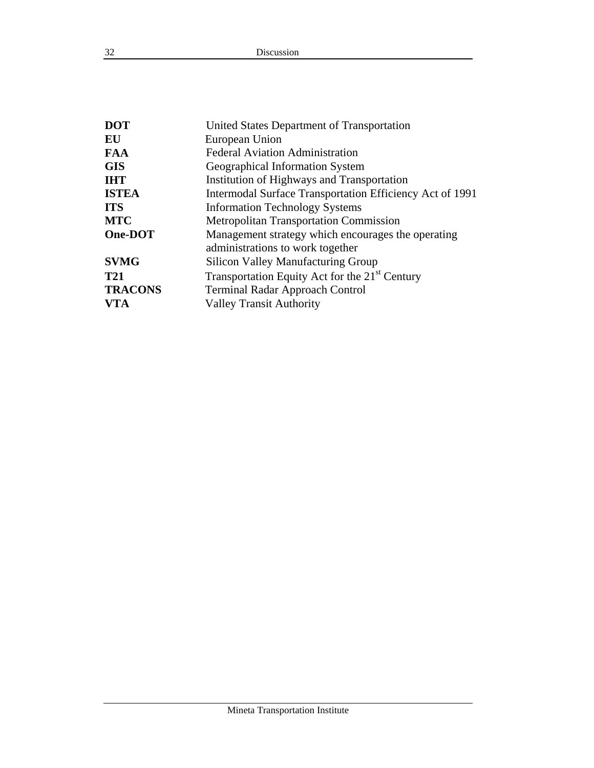| <b>DOT</b>     | United States Department of Transportation                 |
|----------------|------------------------------------------------------------|
| EU             | European Union                                             |
| <b>FAA</b>     | <b>Federal Aviation Administration</b>                     |
| <b>GIS</b>     | Geographical Information System                            |
| <b>IHT</b>     | Institution of Highways and Transportation                 |
| <b>ISTEA</b>   | Intermodal Surface Transportation Efficiency Act of 1991   |
| <b>ITS</b>     | <b>Information Technology Systems</b>                      |
| <b>MTC</b>     | <b>Metropolitan Transportation Commission</b>              |
| One-DOT        | Management strategy which encourages the operating         |
|                | administrations to work together                           |
| <b>SVMG</b>    | <b>Silicon Valley Manufacturing Group</b>                  |
| <b>T21</b>     | Transportation Equity Act for the 21 <sup>st</sup> Century |
| <b>TRACONS</b> | <b>Terminal Radar Approach Control</b>                     |
| <b>VTA</b>     | <b>Valley Transit Authority</b>                            |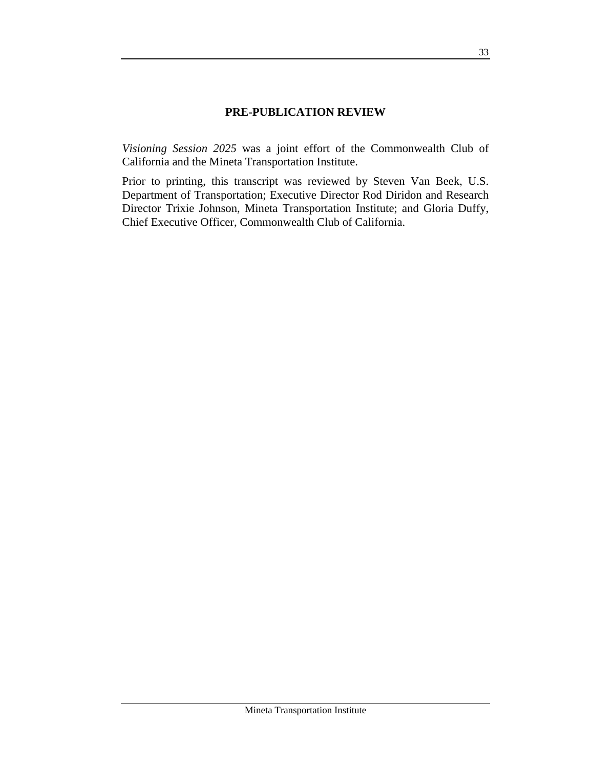#### **PRE-PUBLICATION REVIEW**

*Visioning Session 2025* was a joint effort of the Commonwealth Club of California and the Mineta Transportation Institute.

Prior to printing, this transcript was reviewed by Steven Van Beek, U.S. Department of Transportation; Executive Director Rod Diridon and Research Director Trixie Johnson, Mineta Transportation Institute; and Gloria Duffy, Chief Executive Officer, Commonwealth Club of California.